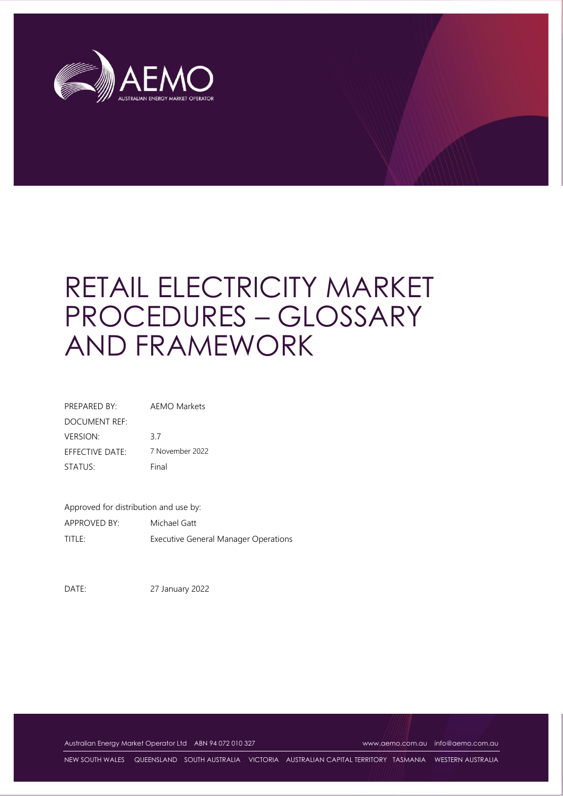

# RETAIL ELECTRICITY MARKET PROCEDURES – GLOSSARY AND FRAMEWORK

| PREPARED BY:    | <b>AEMO Markets</b> |
|-----------------|---------------------|
| DOCUMENT REF:   |                     |
| VERSION:        | 37                  |
| EFFECTIVE DATE: | 7 November 2022     |
| STATUS:         | Final               |

Approved for distribution and use by: APPROVED BY: Michael Gatt TITLE: Executive General Manager Operations

DATE: 27 January 2022

Australian Energy Market Operator Ltd ABN 94 072 010 327 [www.aemo.com.au](http://www.aemo.com.au/) [info@aemo.com.au](mailto:info@aemo.com.au)

NEW SOUTH WALES QUEENSLAND SOUTH AUSTRALIA VICTORIA AUSTRALIAN CAPITAL TERRITORY TASMANIA WESTERN AUSTRALIA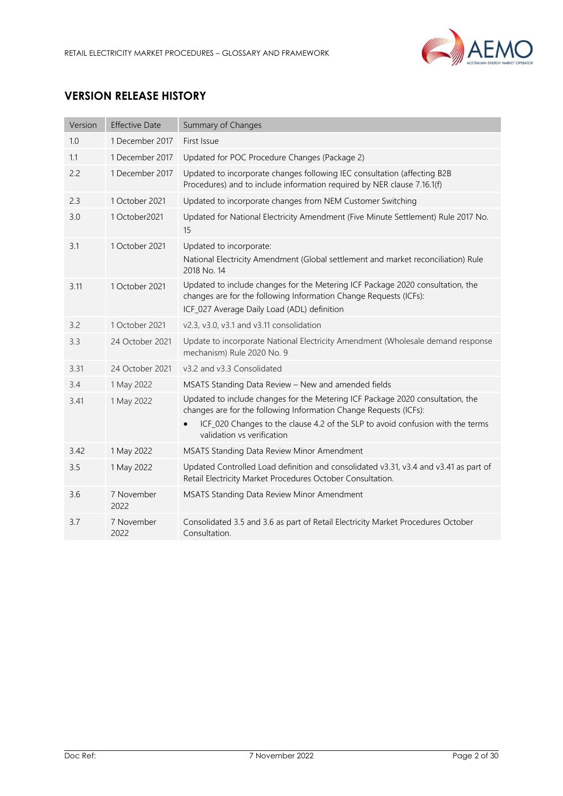

# **VERSION RELEASE HISTORY**

| Version | <b>Effective Date</b> | Summary of Changes                                                                                                                                                                                                                                                  |
|---------|-----------------------|---------------------------------------------------------------------------------------------------------------------------------------------------------------------------------------------------------------------------------------------------------------------|
| 1.0     | 1 December 2017       | First Issue                                                                                                                                                                                                                                                         |
| 1.1     | 1 December 2017       | Updated for POC Procedure Changes (Package 2)                                                                                                                                                                                                                       |
| 2.2     | 1 December 2017       | Updated to incorporate changes following IEC consultation (affecting B2B<br>Procedures) and to include information required by NER clause 7.16.1(f)                                                                                                                 |
| 2.3     | 1 October 2021        | Updated to incorporate changes from NEM Customer Switching                                                                                                                                                                                                          |
| 3.0     | 1 October2021         | Updated for National Electricity Amendment (Five Minute Settlement) Rule 2017 No.<br>15                                                                                                                                                                             |
| 3.1     | 1 October 2021        | Updated to incorporate:<br>National Electricity Amendment (Global settlement and market reconciliation) Rule<br>2018 No. 14                                                                                                                                         |
| 3.11    | 1 October 2021        | Updated to include changes for the Metering ICF Package 2020 consultation, the<br>changes are for the following Information Change Requests (ICFs):<br>ICF_027 Average Daily Load (ADL) definition                                                                  |
| 3.2     | 1 October 2021        | v2.3, v3.0, v3.1 and v3.11 consolidation                                                                                                                                                                                                                            |
| 3.3     | 24 October 2021       | Update to incorporate National Electricity Amendment (Wholesale demand response<br>mechanism) Rule 2020 No. 9                                                                                                                                                       |
| 3.31    | 24 October 2021       | v3.2 and v3.3 Consolidated                                                                                                                                                                                                                                          |
| 3.4     | 1 May 2022            | MSATS Standing Data Review - New and amended fields                                                                                                                                                                                                                 |
| 3.41    | 1 May 2022            | Updated to include changes for the Metering ICF Package 2020 consultation, the<br>changes are for the following Information Change Requests (ICFs):<br>ICF_020 Changes to the clause 4.2 of the SLP to avoid confusion with the terms<br>validation vs verification |
| 3.42    | 1 May 2022            | MSATS Standing Data Review Minor Amendment                                                                                                                                                                                                                          |
| 3.5     | 1 May 2022            | Updated Controlled Load definition and consolidated v3.31, v3.4 and v3.41 as part of<br>Retail Electricity Market Procedures October Consultation.                                                                                                                  |
| 3.6     | 7 November<br>2022    | MSATS Standing Data Review Minor Amendment                                                                                                                                                                                                                          |
| 3.7     | 7 November<br>2022    | Consolidated 3.5 and 3.6 as part of Retail Electricity Market Procedures October<br>Consultation.                                                                                                                                                                   |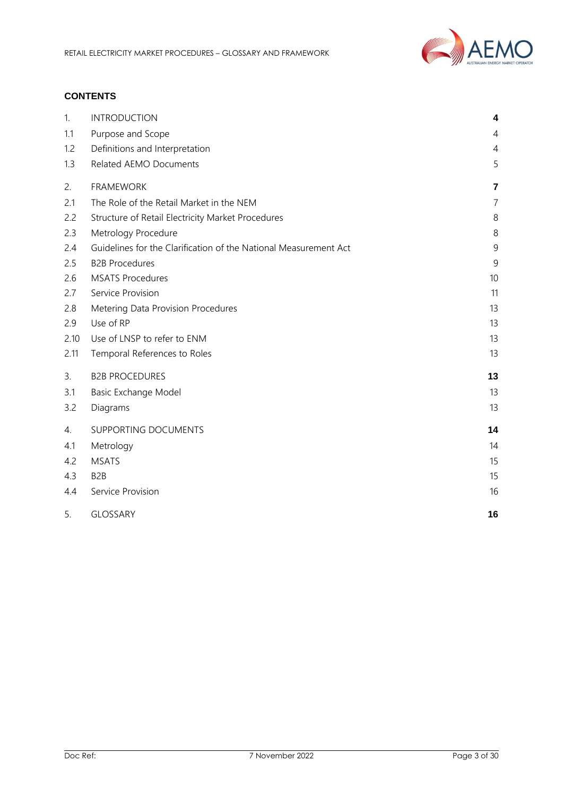

# **CONTENTS**

| 1.   | <b>INTRODUCTION</b>                                              | 4              |
|------|------------------------------------------------------------------|----------------|
| 1.1  | Purpose and Scope                                                | 4              |
| 1.2  | Definitions and Interpretation                                   | $\overline{4}$ |
| 1.3  | Related AEMO Documents                                           | 5              |
| 2.   | <b>FRAMEWORK</b>                                                 | $\overline{7}$ |
| 2.1  | The Role of the Retail Market in the NEM                         | $\overline{7}$ |
| 2.2  | Structure of Retail Electricity Market Procedures                | $\,8\,$        |
| 2.3  | Metrology Procedure                                              | 8              |
| 2.4  | Guidelines for the Clarification of the National Measurement Act | 9              |
| 2.5  | <b>B2B Procedures</b>                                            | $\overline{9}$ |
| 2.6  | <b>MSATS Procedures</b>                                          | 10             |
| 2.7  | Service Provision                                                | 11             |
| 2.8  | Metering Data Provision Procedures                               | 13             |
| 2.9  | Use of RP                                                        | 13             |
| 2.10 | Use of LNSP to refer to ENM                                      | 13             |
| 2.11 | Temporal References to Roles                                     | 13             |
| 3.   | <b>B2B PROCEDURES</b>                                            | 13             |
| 3.1  | Basic Exchange Model                                             | 13             |
| 3.2  | Diagrams                                                         | 13             |
| 4.   | SUPPORTING DOCUMENTS                                             | 14             |
| 4.1  | Metrology                                                        | 14             |
| 4.2  | <b>MSATS</b>                                                     | 15             |
| 4.3  | B <sub>2</sub> B                                                 | 15             |
| 4.4  | Service Provision                                                | 16             |
| 5.   | <b>GLOSSARY</b>                                                  | 16             |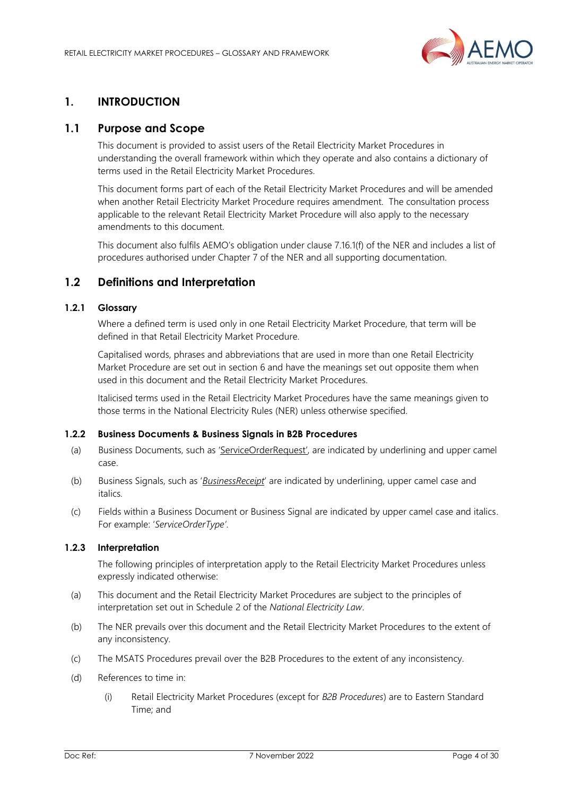

# <span id="page-3-0"></span>**1. INTRODUCTION**

# <span id="page-3-1"></span>**1.1 Purpose and Scope**

This document is provided to assist users of the Retail Electricity Market Procedures in understanding the overall framework within which they operate and also contains a dictionary of terms used in the Retail Electricity Market Procedures.

This document forms part of each of the Retail Electricity Market Procedures and will be amended when another Retail Electricity Market Procedure requires amendment. The consultation process applicable to the relevant Retail Electricity Market Procedure will also apply to the necessary amendments to this document.

This document also fulfils AEMO's obligation under clause 7.16.1(f) of the NER and includes a list of procedures authorised under Chapter 7 of the NER and all supporting documentation.

# <span id="page-3-2"></span>**1.2 Definitions and Interpretation**

## **1.2.1 Glossary**

Where a defined term is used only in one Retail Electricity Market Procedure, that term will be defined in that Retail Electricity Market Procedure.

Capitalised words, phrases and abbreviations that are used in more than one Retail Electricity Market Procedure are set out in section 6 and have the meanings set out opposite them when used in this document and the Retail Electricity Market Procedures.

Italicised terms used in the Retail Electricity Market Procedures have the same meanings given to those terms in the National Electricity Rules (NER) unless otherwise specified.

## **1.2.2 Business Documents & Business Signals in B2B Procedures**

- (a) Business Documents, such as 'ServiceOrderRequest', are indicated by underlining and upper camel case.
- (b) Business Signals, such as '*BusinessReceipt*' are indicated by underlining, upper camel case and italics*.*
- (c) Fields within a Business Document or Business Signal are indicated by upper camel case and italics. For example: '*ServiceOrderType'*.

## **1.2.3 Interpretation**

The following principles of interpretation apply to the Retail Electricity Market Procedures unless expressly indicated otherwise:

- (a) This document and the Retail Electricity Market Procedures are subject to the principles of interpretation set out in Schedule 2 of the *National Electricity Law*.
- (b) The NER prevails over this document and the Retail Electricity Market Procedures to the extent of any inconsistency.
- (c) The MSATS Procedures prevail over the B2B Procedures to the extent of any inconsistency.
- (d) References to time in:
	- (i) Retail Electricity Market Procedures (except for *B2B Procedures*) are to Eastern Standard Time; and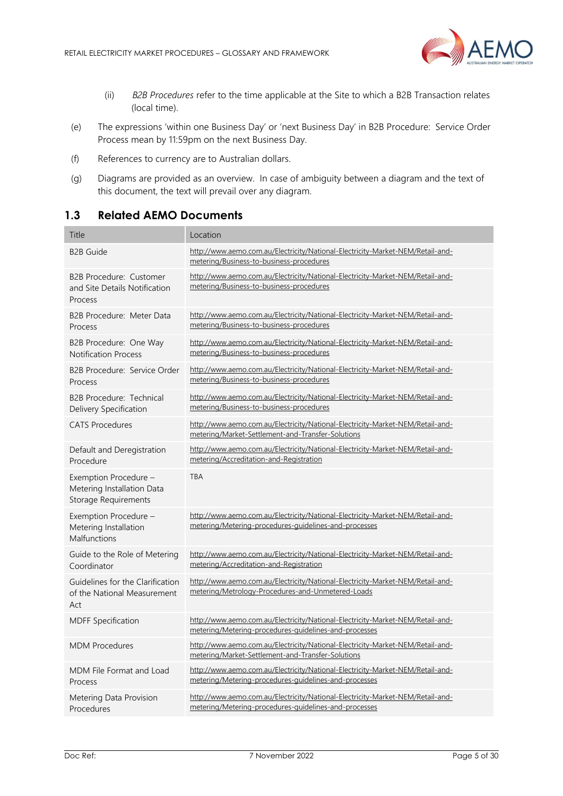

- (ii) *B2B Procedures* refer to the time applicable at the Site to which a B2B Transaction relates (local time).
- (e) The expressions 'within one Business Day' or 'next Business Day' in B2B Procedure: Service Order Process mean by 11:59pm on the next Business Day.
- (f) References to currency are to Australian dollars.
- (g) Diagrams are provided as an overview. In case of ambiguity between a diagram and the text of this document, the text will prevail over any diagram.

# <span id="page-4-0"></span>**1.3 Related AEMO Documents**

| Title                                                                              | Location                                                                                                                                |
|------------------------------------------------------------------------------------|-----------------------------------------------------------------------------------------------------------------------------------------|
| <b>B2B Guide</b>                                                                   | http://www.aemo.com.au/Electricity/National-Electricity-Market-NEM/Retail-and-<br>metering/Business-to-business-procedures              |
| B2B Procedure: Customer<br>and Site Details Notification<br>Process                | http://www.aemo.com.au/Electricity/National-Electricity-Market-NEM/Retail-and-<br>metering/Business-to-business-procedures              |
| B2B Procedure: Meter Data<br>Process                                               | http://www.aemo.com.au/Electricity/National-Electricity-Market-NEM/Retail-and-<br>metering/Business-to-business-procedures              |
| B2B Procedure: One Way<br><b>Notification Process</b>                              | http://www.aemo.com.au/Electricity/National-Electricity-Market-NEM/Retail-and-<br>metering/Business-to-business-procedures              |
| B2B Procedure: Service Order<br>Process                                            | http://www.aemo.com.au/Electricity/National-Electricity-Market-NEM/Retail-and-<br>metering/Business-to-business-procedures              |
| B <sub>2</sub> B Procedure: Technical<br>Delivery Specification                    | http://www.aemo.com.au/Electricity/National-Electricity-Market-NEM/Retail-and-<br>metering/Business-to-business-procedures              |
| <b>CATS Procedures</b>                                                             | http://www.aemo.com.au/Electricity/National-Electricity-Market-NEM/Retail-and-<br>metering/Market-Settlement-and-Transfer-Solutions     |
| Default and Deregistration<br>Procedure                                            | http://www.aemo.com.au/Electricity/National-Electricity-Market-NEM/Retail-and-<br>metering/Accreditation-and-Registration               |
| Exemption Procedure -<br>Metering Installation Data<br><b>Storage Requirements</b> | <b>TBA</b>                                                                                                                              |
| Exemption Procedure -<br>Metering Installation<br>Malfunctions                     | http://www.aemo.com.au/Electricity/National-Electricity-Market-NEM/Retail-and-<br>metering/Metering-procedures-guidelines-and-processes |
| Guide to the Role of Metering<br>Coordinator                                       | http://www.aemo.com.au/Electricity/National-Electricity-Market-NEM/Retail-and-<br>metering/Accreditation-and-Registration               |
| Guidelines for the Clarification<br>of the National Measurement<br>Act             | http://www.aemo.com.au/Electricity/National-Electricity-Market-NEM/Retail-and-<br>metering/Metrology-Procedures-and-Unmetered-Loads     |
| <b>MDFF Specification</b>                                                          | http://www.aemo.com.au/Electricity/National-Electricity-Market-NEM/Retail-and-<br>metering/Metering-procedures-guidelines-and-processes |
| <b>MDM Procedures</b>                                                              | http://www.aemo.com.au/Electricity/National-Electricity-Market-NEM/Retail-and-<br>metering/Market-Settlement-and-Transfer-Solutions     |
| MDM File Format and Load<br>Process                                                | http://www.aemo.com.au/Electricity/National-Electricity-Market-NEM/Retail-and-<br>metering/Metering-procedures-guidelines-and-processes |
| Metering Data Provision<br>Procedures                                              | http://www.aemo.com.au/Electricity/National-Electricity-Market-NEM/Retail-and-<br>metering/Metering-procedures-guidelines-and-processes |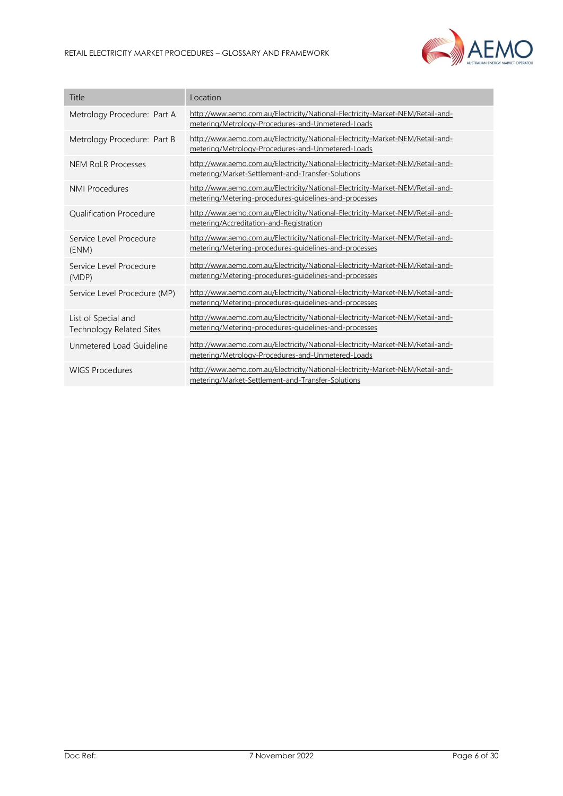

| Title                                                  | Location                                                                                                                                |
|--------------------------------------------------------|-----------------------------------------------------------------------------------------------------------------------------------------|
| Metrology Procedure: Part A                            | http://www.aemo.com.au/Electricity/National-Electricity-Market-NEM/Retail-and-<br>metering/Metrology-Procedures-and-Unmetered-Loads     |
| Metrology Procedure: Part B                            | http://www.aemo.com.au/Electricity/National-Electricity-Market-NEM/Retail-and-<br>metering/Metrology-Procedures-and-Unmetered-Loads     |
| <b>NEM RoLR Processes</b>                              | http://www.aemo.com.au/Electricity/National-Electricity-Market-NEM/Retail-and-<br>metering/Market-Settlement-and-Transfer-Solutions     |
| <b>NMI Procedures</b>                                  | http://www.aemo.com.au/Electricity/National-Electricity-Market-NEM/Retail-and-<br>metering/Metering-procedures-quidelines-and-processes |
| <b>Qualification Procedure</b>                         | http://www.aemo.com.au/Electricity/National-Electricity-Market-NEM/Retail-and-<br>metering/Accreditation-and-Registration               |
| Service Level Procedure<br>(ENM)                       | http://www.aemo.com.au/Electricity/National-Electricity-Market-NEM/Retail-and-<br>metering/Metering-procedures-quidelines-and-processes |
| Service Level Procedure<br>(MDP)                       | http://www.aemo.com.au/Electricity/National-Electricity-Market-NEM/Retail-and-<br>metering/Metering-procedures-quidelines-and-processes |
| Service Level Procedure (MP)                           | http://www.aemo.com.au/Electricity/National-Electricity-Market-NEM/Retail-and-<br>metering/Metering-procedures-guidelines-and-processes |
| List of Special and<br><b>Technology Related Sites</b> | http://www.aemo.com.au/Electricity/National-Electricity-Market-NEM/Retail-and-<br>metering/Metering-procedures-guidelines-and-processes |
| Unmetered Load Guideline                               | http://www.aemo.com.au/Electricity/National-Electricity-Market-NEM/Retail-and-<br>metering/Metrology-Procedures-and-Unmetered-Loads     |
| <b>WIGS Procedures</b>                                 | http://www.aemo.com.au/Electricity/National-Electricity-Market-NEM/Retail-and-<br>metering/Market-Settlement-and-Transfer-Solutions     |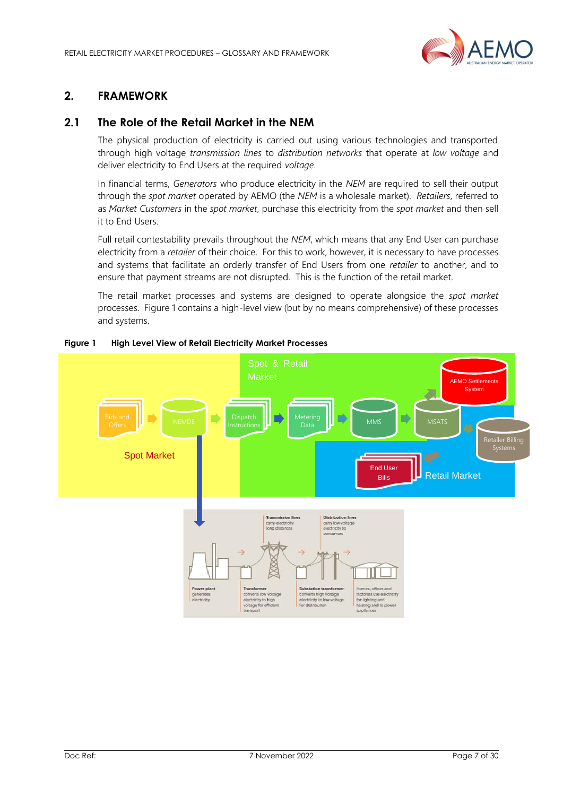

# <span id="page-6-0"></span>**2. FRAMEWORK**

# <span id="page-6-1"></span>**2.1 The Role of the Retail Market in the NEM**

The physical production of electricity is carried out using various technologies and transported through high voltage *transmission lines* to *distribution networks* that operate at *low voltage* and deliver electricity to End Users at the required *voltage*.

In financial terms, *Generators* who produce electricity in the *NEM* are required to sell their output through the *spot market* operated by AEMO (the *NEM* is a wholesale market). *Retailers*, referred to as *Market Customers* in the *spot market*, purchase this electricity from the *spot market* and then sell it to End Users.

Full retail contestability prevails throughout the *NEM*, which means that any End User can purchase electricity from a *retailer* of their choice. For this to work, however, it is necessary to have processes and systems that facilitate an orderly transfer of End Users from one *retailer* to another, and to ensure that payment streams are not disrupted. This is the function of the retail market.

The retail market processes and systems are designed to operate alongside the *spot market* processes. Figure 1 contains a high-level view (but by no means comprehensive) of these processes and systems.



#### **Figure 1 High Level View of Retail Electricity Market Processes**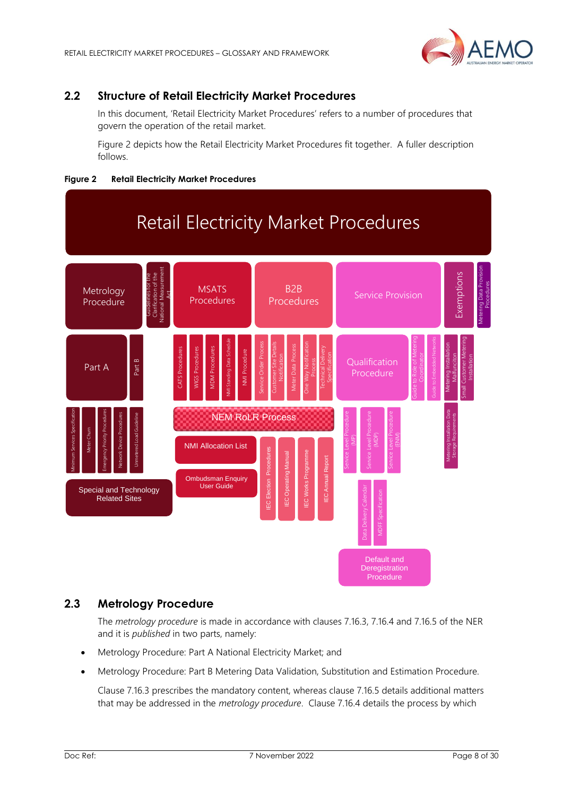

# <span id="page-7-0"></span>**2.2 Structure of Retail Electricity Market Procedures**

In this document, 'Retail Electricity Market Procedures' refers to a number of procedures that govern the operation of the retail market.

Figure 2 depicts how the Retail Electricity Market Procedures fit together. A fuller description follows.





# <span id="page-7-1"></span>**2.3 Metrology Procedure**

The *metrology procedure* is made in accordance with clauses 7.16.3, 7.16.4 and 7.16.5 of the NER and it is *published* in two parts, namely:

- Metrology Procedure: Part A National Electricity Market; and
- Metrology Procedure: Part B Metering Data Validation, Substitution and Estimation Procedure.

Clause 7.16.3 prescribes the mandatory content, whereas clause 7.16.5 details additional matters that may be addressed in the *metrology procedure*. Clause 7.16.4 details the process by which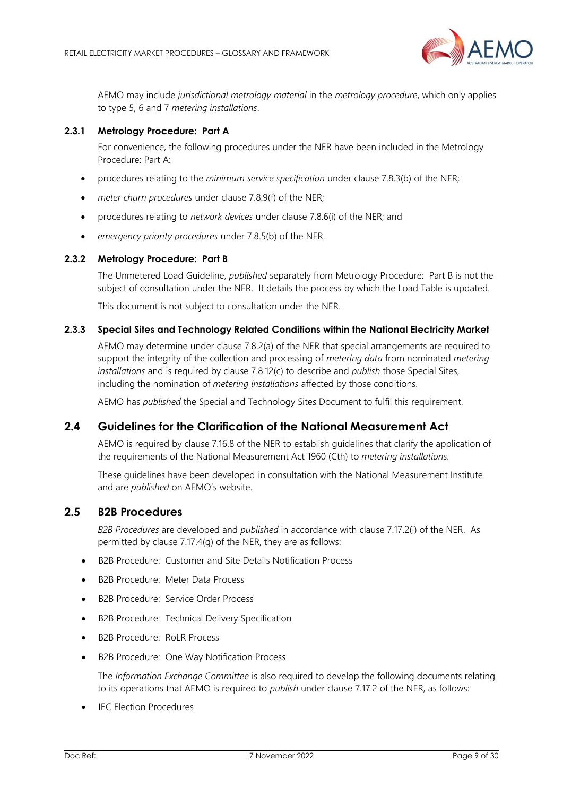

AEMO may include *jurisdictional metrology material* in the *metrology procedure*, which only applies to type 5, 6 and 7 *metering installations*.

## **2.3.1 Metrology Procedure: Part A**

For convenience, the following procedures under the NER have been included in the Metrology Procedure: Part A:

- procedures relating to the *minimum service specification* under clause 7.8.3(b) of the NER;
- *meter churn procedures* under clause 7.8.9(f) of the NER;
- procedures relating to *network devices* under clause 7.8.6(i) of the NER; and
- *emergency priority procedures* under 7.8.5(b) of the NER.

#### **2.3.2 Metrology Procedure: Part B**

The Unmetered Load Guideline, *published* separately from Metrology Procedure: Part B is not the subject of consultation under the NER. It details the process by which the Load Table is updated.

This document is not subject to consultation under the NER.

## **2.3.3 Special Sites and Technology Related Conditions within the National Electricity Market**

AEMO may determine under clause 7.8.2(a) of the NER that special arrangements are required to support the integrity of the collection and processing of *metering data* from nominated *metering installations* and is required by clause 7.8.12(c) to describe and *publish* those Special Sites, including the nomination of *metering installations* affected by those conditions.

AEMO has *published* the Special and Technology Sites Document to fulfil this requirement.

## <span id="page-8-0"></span>**2.4 Guidelines for the Clarification of the National Measurement Act**

AEMO is required by clause 7.16.8 of the NER to establish guidelines that clarify the application of the requirements of the National Measurement Act 1960 (Cth) to *metering installations.*

These guidelines have been developed in consultation with the National Measurement Institute and are *published* on AEMO's website.

# <span id="page-8-1"></span>**2.5 B2B Procedures**

*B2B Procedures* are developed and *published* in accordance with clause 7.17.2(i) of the NER. As permitted by clause 7.17.4(g) of the NER, they are as follows:

- B2B Procedure: Customer and Site Details Notification Process
- B2B Procedure: Meter Data Process
- B2B Procedure: Service Order Process
- B2B Procedure: Technical Delivery Specification
- B2B Procedure: RoLR Process
- B2B Procedure: One Way Notification Process.

The *Information Exchange Committee* is also required to develop the following documents relating to its operations that AEMO is required to *publish* under clause 7.17.2 of the NER, as follows:

**IEC Election Procedures**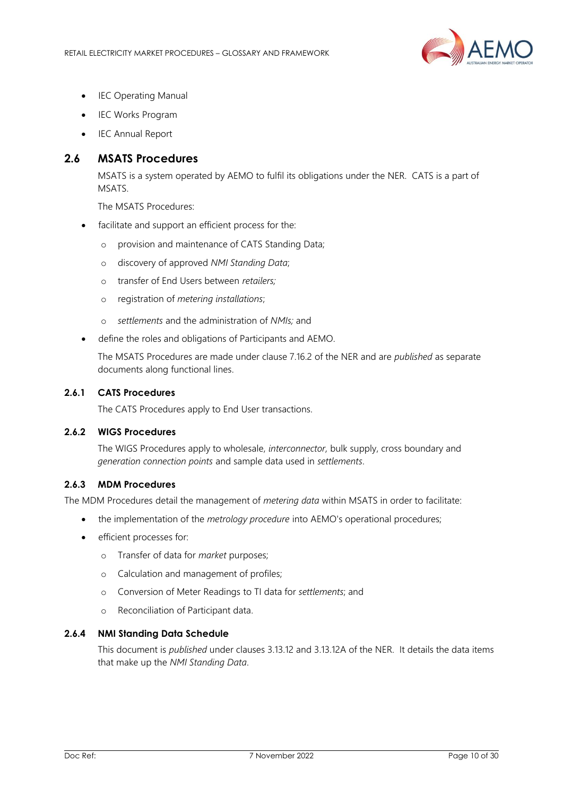

- **IEC Operating Manual**
- IEC Works Program
- IEC Annual Report

# <span id="page-9-0"></span>**2.6 MSATS Procedures**

MSATS is a system operated by AEMO to fulfil its obligations under the NER. CATS is a part of MSATS.

The MSATS Procedures:

- facilitate and support an efficient process for the:
	- o provision and maintenance of CATS Standing Data;
	- o discovery of approved *NMI Standing Data*;
	- o transfer of End Users between *retailers;*
	- o registration of *metering installations*;
	- o *settlements* and the administration of *NMIs;* and
- define the roles and obligations of Participants and AEMO.

The MSATS Procedures are made under clause 7.16.2 of the NER and are *published* as separate documents along functional lines.

#### **2.6.1 CATS Procedures**

The CATS Procedures apply to End User transactions.

## **2.6.2 WIGS Procedures**

The WIGS Procedures apply to wholesale, *interconnector,* bulk supply, cross boundary and *generation connection points* and sample data used in *settlements*.

#### **2.6.3 MDM Procedures**

The MDM Procedures detail the management of *metering data* within MSATS in order to facilitate:

- the implementation of the *metrology procedure* into AEMO's operational procedures;
- efficient processes for:
	- o Transfer of data for *market* purposes;
	- o Calculation and management of profiles;
	- o Conversion of Meter Readings to TI data for *settlements*; and
	- o Reconciliation of Participant data.

## **2.6.4 NMI Standing Data Schedule**

This document is *published* under clauses 3.13.12 and 3.13.12A of the NER. It details the data items that make up the *NMI Standing Data*.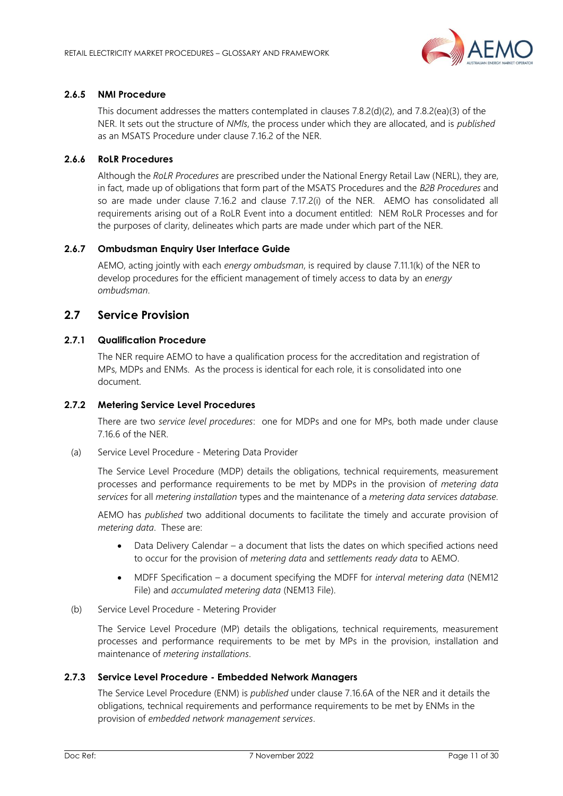

## **2.6.5 NMI Procedure**

This document addresses the matters contemplated in clauses 7.8.2(d)(2), and 7.8.2(ea)(3) of the NER. It sets out the structure of *NMIs*, the process under which they are allocated, and is *published* as an MSATS Procedure under clause 7.16.2 of the NER.

## **2.6.6 RoLR Procedures**

Although the *RoLR Procedures* are prescribed under the National Energy Retail Law (NERL), they are, in fact, made up of obligations that form part of the MSATS Procedures and the *B2B Procedures* and so are made under clause 7.16.2 and clause 7.17.2(i) of the NER. AEMO has consolidated all requirements arising out of a RoLR Event into a document entitled: NEM RoLR Processes and for the purposes of clarity, delineates which parts are made under which part of the NER.

## **2.6.7 Ombudsman Enquiry User Interface Guide**

AEMO, acting jointly with each *energy ombudsman*, is required by clause 7.11.1(k) of the NER to develop procedures for the efficient management of timely access to data by an *energy ombudsman*.

## <span id="page-10-0"></span>**2.7 Service Provision**

## **2.7.1 Qualification Procedure**

The NER require AEMO to have a qualification process for the accreditation and registration of MPs, MDPs and ENMs. As the process is identical for each role, it is consolidated into one document.

## **2.7.2 Metering Service Level Procedures**

There are two *service level procedures*: one for MDPs and one for MPs, both made under clause 7.16.6 of the NER.

(a) Service Level Procedure - Metering Data Provider

The Service Level Procedure (MDP) details the obligations, technical requirements, measurement processes and performance requirements to be met by MDPs in the provision of *metering data services* for all *metering installation* types and the maintenance of a *metering data services database.*

AEMO has *published* two additional documents to facilitate the timely and accurate provision of *metering data*. These are:

- Data Delivery Calendar a document that lists the dates on which specified actions need to occur for the provision of *metering data* and *settlements ready data* to AEMO.
- MDFF Specification a document specifying the MDFF for *interval metering data* (NEM12 File) and *accumulated metering data* (NEM13 File).
- (b) Service Level Procedure Metering Provider

The Service Level Procedure (MP) details the obligations, technical requirements, measurement processes and performance requirements to be met by MPs in the provision, installation and maintenance of *metering installations*.

## **2.7.3 Service Level Procedure - Embedded Network Managers**

The Service Level Procedure (ENM) is *published* under clause 7.16.6A of the NER and it details the obligations, technical requirements and performance requirements to be met by ENMs in the provision of *embedded network management services*.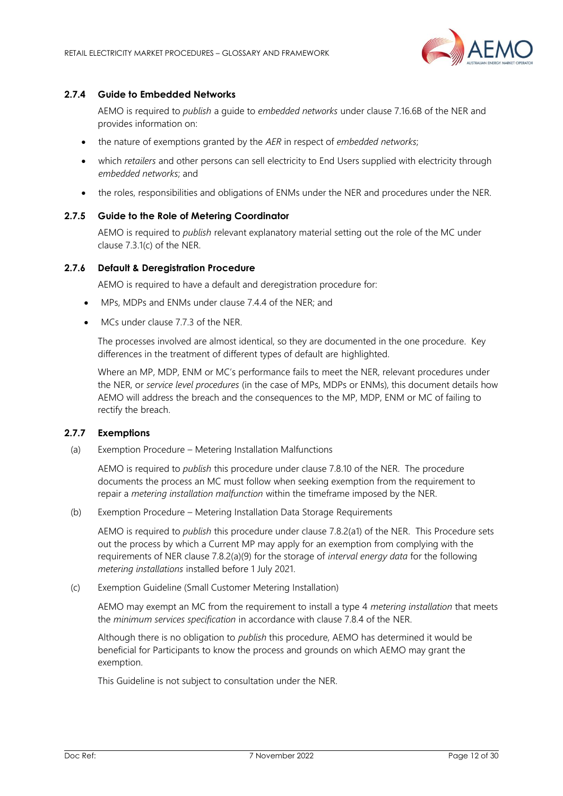

## **2.7.4 Guide to Embedded Networks**

AEMO is required to *publish* a guide to *embedded networks* under clause 7.16.6B of the NER and provides information on:

- the nature of exemptions granted by the *AER* in respect of *embedded networks*;
- which *retailers* and other persons can sell electricity to End Users supplied with electricity through *embedded networks*; and
- the roles, responsibilities and obligations of ENMs under the NER and procedures under the NER.

#### **2.7.5 Guide to the Role of Metering Coordinator**

AEMO is required to *publish* relevant explanatory material setting out the role of the MC under clause 7.3.1(c) of the NER.

#### **2.7.6 Default & Deregistration Procedure**

AEMO is required to have a default and deregistration procedure for:

- MPs, MDPs and ENMs under clause 7.4.4 of the NER; and
- MCs under clause 7.7.3 of the NER.

The processes involved are almost identical, so they are documented in the one procedure. Key differences in the treatment of different types of default are highlighted.

Where an MP, MDP, ENM or MC's performance fails to meet the NER, relevant procedures under the NER, or *service level procedures* (in the case of MPs, MDPs or ENMs), this document details how AEMO will address the breach and the consequences to the MP, MDP, ENM or MC of failing to rectify the breach.

#### **2.7.7 Exemptions**

(a) Exemption Procedure – Metering Installation Malfunctions

AEMO is required to *publish* this procedure under clause 7.8.10 of the NER. The procedure documents the process an MC must follow when seeking exemption from the requirement to repair a *metering installation malfunction* within the timeframe imposed by the NER.

(b) Exemption Procedure – Metering Installation Data Storage Requirements

AEMO is required to *publish* this procedure under clause 7.8.2(a1) of the NER. This Procedure sets out the process by which a Current MP may apply for an exemption from complying with the requirements of NER clause 7.8.2(a)(9) for the storage of *interval energy data* for the following *metering installations* installed before 1 July 2021.

(c) Exemption Guideline (Small Customer Metering Installation)

AEMO may exempt an MC from the requirement to install a type 4 *metering installation* that meets the *minimum services specification* in accordance with clause 7.8.4 of the NER.

Although there is no obligation to *publish* this procedure, AEMO has determined it would be beneficial for Participants to know the process and grounds on which AEMO may grant the exemption.

This Guideline is not subject to consultation under the NER.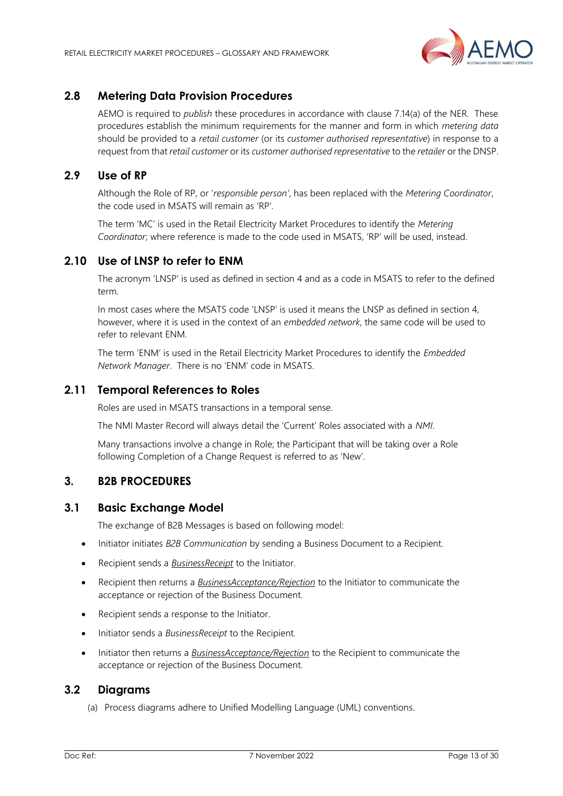

# <span id="page-12-0"></span>**2.8 Metering Data Provision Procedures**

AEMO is required to *publish* these procedures in accordance with clause 7.14(a) of the NER. These procedures establish the minimum requirements for the manner and form in which *metering data* should be provided to a *retail customer* (or its *customer authorised representative*) in response to a request from that *retail customer* or its *customer authorised representative* to the *retailer* or the DNSP.

# <span id="page-12-1"></span>**2.9 Use of RP**

Although the Role of RP, or '*responsible person'*, has been replaced with the *Metering Coordinator*, the code used in MSATS will remain as 'RP'.

The term 'MC' is used in the Retail Electricity Market Procedures to identify the *Metering Coordinator*; where reference is made to the code used in MSATS, 'RP' will be used, instead.

# <span id="page-12-2"></span>**2.10 Use of LNSP to refer to ENM**

The acronym 'LNSP' is used as defined in section 4 and as a code in MSATS to refer to the defined term.

In most cases where the MSATS code 'LNSP' is used it means the LNSP as defined in section 4, however, where it is used in the context of an *embedded network*, the same code will be used to refer to relevant ENM.

The term 'ENM' is used in the Retail Electricity Market Procedures to identify the *Embedded Network Manager*. There is no 'ENM' code in MSATS.

# <span id="page-12-3"></span>**2.11 Temporal References to Roles**

Roles are used in MSATS transactions in a temporal sense.

The NMI Master Record will always detail the 'Current' Roles associated with a *NMI*.

Many transactions involve a change in Role; the Participant that will be taking over a Role following Completion of a Change Request is referred to as 'New'.

# <span id="page-12-4"></span>**3. B2B PROCEDURES**

## <span id="page-12-5"></span>**3.1 Basic Exchange Model**

The exchange of B2B Messages is based on following model:

- Initiator initiates *B2B Communication* by sending a Business Document to a Recipient.
- Recipient sends a *BusinessReceipt* to the Initiator.
- Recipient then returns a *BusinessAcceptance/Rejection* to the Initiator to communicate the acceptance or rejection of the Business Document.
- Recipient sends a response to the Initiator.
- Initiator sends a *BusinessReceipt* to the Recipient.
- Initiator then returns a *BusinessAcceptance/Rejection* to the Recipient to communicate the acceptance or rejection of the Business Document.

# <span id="page-12-6"></span>**3.2 Diagrams**

(a) Process diagrams adhere to Unified Modelling Language (UML) conventions.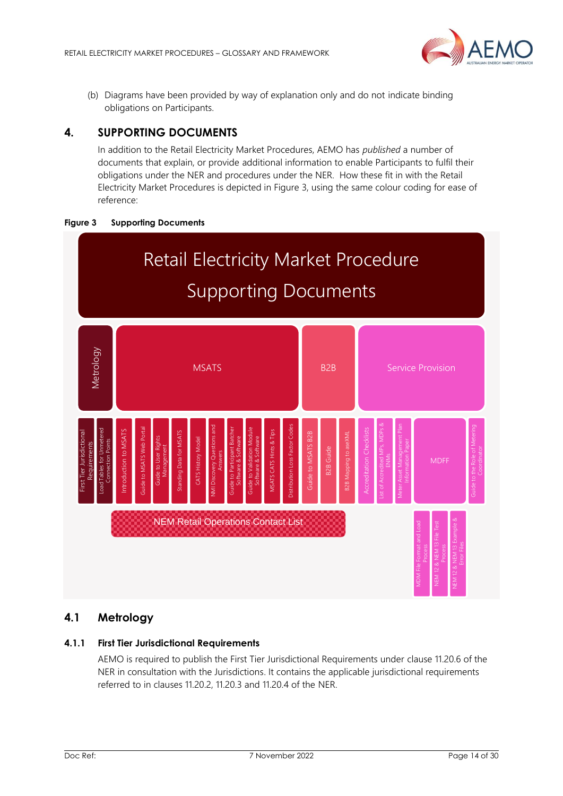

(b) Diagrams have been provided by way of explanation only and do not indicate binding obligations on Participants.

# <span id="page-13-0"></span>**4. SUPPORTING DOCUMENTS**

In addition to the Retail Electricity Market Procedures, AEMO has *published* a number of documents that explain, or provide additional information to enable Participants to fulfil their obligations under the NER and procedures under the NER. How these fit in with the Retail Electricity Market Procedures is depicted in Figure 3, using the same colour coding for ease of reference:





# <span id="page-13-1"></span>**4.1 Metrology**

## **4.1.1 First Tier Jurisdictional Requirements**

AEMO is required to publish the First Tier Jurisdictional Requirements under clause 11.20.6 of the NER in consultation with the Jurisdictions. It contains the applicable jurisdictional requirements referred to in clauses 11.20.2, 11.20.3 and 11.20.4 of the NER.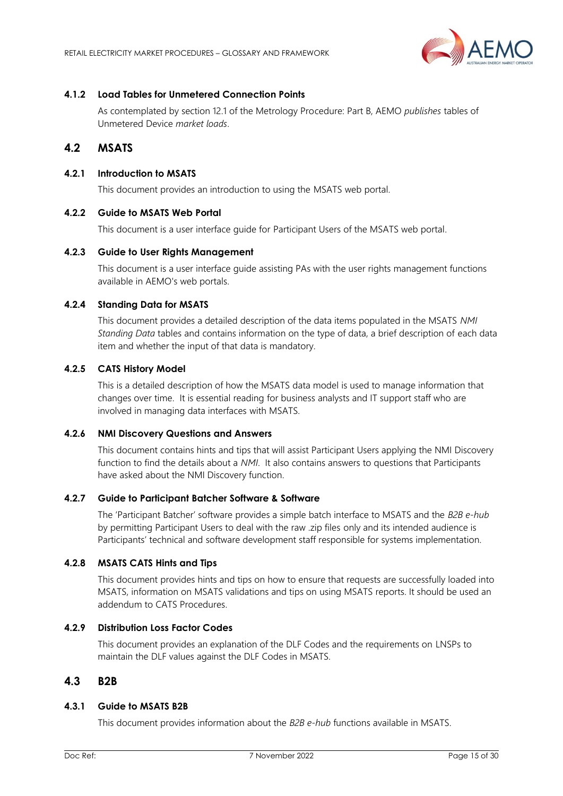

## **4.1.2 Load Tables for Unmetered Connection Points**

As contemplated by section 12.1 of the Metrology Procedure: Part B, AEMO *publishes* tables of Unmetered Device *market loads*.

# <span id="page-14-0"></span>**4.2 MSATS**

## **4.2.1 Introduction to MSATS**

This document provides an introduction to using the MSATS web portal.

## **4.2.2 Guide to MSATS Web Portal**

This document is a user interface guide for Participant Users of the MSATS web portal.

#### **4.2.3 Guide to User Rights Management**

This document is a user interface guide assisting PAs with the user rights management functions available in AEMO's web portals.

## **4.2.4 Standing Data for MSATS**

This document provides a detailed description of the data items populated in the MSATS *NMI Standing Data* tables and contains information on the type of data, a brief description of each data item and whether the input of that data is mandatory.

# **4.2.5 CATS History Model**

This is a detailed description of how the MSATS data model is used to manage information that changes over time. It is essential reading for business analysts and IT support staff who are involved in managing data interfaces with MSATS.

### **4.2.6 NMI Discovery Questions and Answers**

This document contains hints and tips that will assist Participant Users applying the NMI Discovery function to find the details about a *NMI*. It also contains answers to questions that Participants have asked about the NMI Discovery function.

## **4.2.7 Guide to Participant Batcher Software & Software**

The 'Participant Batcher' software provides a simple batch interface to MSATS and the *B2B e-hub* by permitting Participant Users to deal with the raw .zip files only and its intended audience is Participants' technical and software development staff responsible for systems implementation.

## **4.2.8 MSATS CATS Hints and Tips**

This document provides hints and tips on how to ensure that requests are successfully loaded into MSATS, information on MSATS validations and tips on using MSATS reports. It should be used an addendum to CATS Procedures.

## **4.2.9 Distribution Loss Factor Codes**

This document provides an explanation of the DLF Codes and the requirements on LNSPs to maintain the DLF values against the DLF Codes in MSATS.

# <span id="page-14-1"></span>**4.3 B2B**

## **4.3.1 Guide to MSATS B2B**

This document provides information about the *B2B e-hub* functions available in MSATS.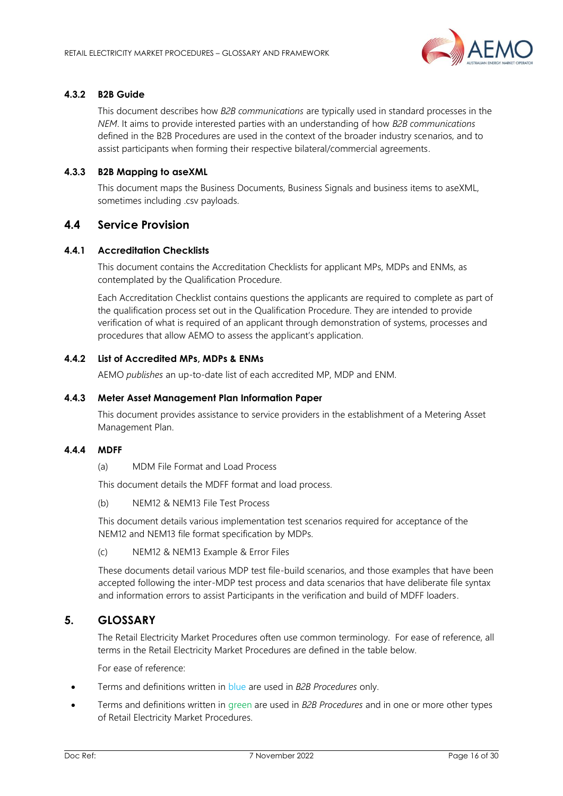

## **4.3.2 B2B Guide**

This document describes how *B2B communications* are typically used in standard processes in the *NEM*. It aims to provide interested parties with an understanding of how *B2B communications* defined in the B2B Procedures are used in the context of the broader industry scenarios, and to assist participants when forming their respective bilateral/commercial agreements.

## **4.3.3 B2B Mapping to aseXML**

This document maps the Business Documents, Business Signals and business items to aseXML, sometimes including .csv payloads.

# <span id="page-15-0"></span>**4.4 Service Provision**

## **4.4.1 Accreditation Checklists**

This document contains the Accreditation Checklists for applicant MPs, MDPs and ENMs, as contemplated by the Qualification Procedure.

Each Accreditation Checklist contains questions the applicants are required to complete as part of the qualification process set out in the Qualification Procedure. They are intended to provide verification of what is required of an applicant through demonstration of systems, processes and procedures that allow AEMO to assess the applicant's application.

## **4.4.2 List of Accredited MPs, MDPs & ENMs**

AEMO *publishes* an up-to-date list of each accredited MP, MDP and ENM.

### **4.4.3 Meter Asset Management Plan Information Paper**

This document provides assistance to service providers in the establishment of a Metering Asset Management Plan.

## **4.4.4 MDFF**

(a) MDM File Format and Load Process

This document details the MDFF format and load process.

(b) NEM12 & NEM13 File Test Process

This document details various implementation test scenarios required for acceptance of the NEM12 and NEM13 file format specification by MDPs.

(c) NEM12 & NEM13 Example & Error Files

These documents detail various MDP test file-build scenarios, and those examples that have been accepted following the inter-MDP test process and data scenarios that have deliberate file syntax and information errors to assist Participants in the verification and build of MDFF loaders.

# <span id="page-15-1"></span>**5. GLOSSARY**

The Retail Electricity Market Procedures often use common terminology. For ease of reference, all terms in the Retail Electricity Market Procedures are defined in the table below.

For ease of reference:

- Terms and definitions written in blue are used in *B2B Procedures* only.
- Terms and definitions written in green are used in *B2B Procedures* and in one or more other types of Retail Electricity Market Procedures.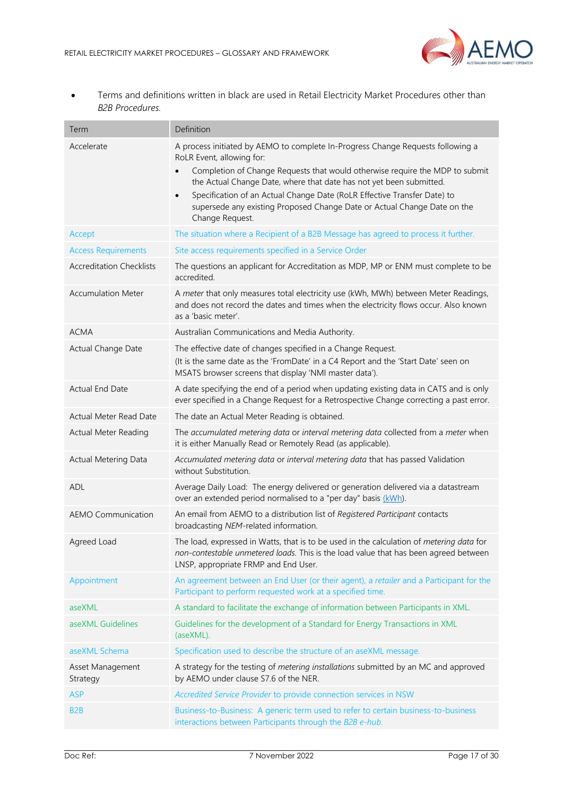

• Terms and definitions written in black are used in Retail Electricity Market Procedures other than *B2B Procedures.*

| Term                            | Definition                                                                                                                                                                                                                                                                                                                                                                                                                                                               |
|---------------------------------|--------------------------------------------------------------------------------------------------------------------------------------------------------------------------------------------------------------------------------------------------------------------------------------------------------------------------------------------------------------------------------------------------------------------------------------------------------------------------|
| Accelerate                      | A process initiated by AEMO to complete In-Progress Change Requests following a<br>RoLR Event, allowing for:<br>Completion of Change Requests that would otherwise require the MDP to submit<br>$\bullet$<br>the Actual Change Date, where that date has not yet been submitted.<br>Specification of an Actual Change Date (RoLR Effective Transfer Date) to<br>$\bullet$<br>supersede any existing Proposed Change Date or Actual Change Date on the<br>Change Request. |
| Accept                          | The situation where a Recipient of a B2B Message has agreed to process it further.                                                                                                                                                                                                                                                                                                                                                                                       |
| <b>Access Requirements</b>      | Site access requirements specified in a Service Order                                                                                                                                                                                                                                                                                                                                                                                                                    |
| <b>Accreditation Checklists</b> | The questions an applicant for Accreditation as MDP, MP or ENM must complete to be<br>accredited.                                                                                                                                                                                                                                                                                                                                                                        |
| <b>Accumulation Meter</b>       | A meter that only measures total electricity use (kWh, MWh) between Meter Readings,<br>and does not record the dates and times when the electricity flows occur. Also known<br>as a 'basic meter'.                                                                                                                                                                                                                                                                       |
| <b>ACMA</b>                     | Australian Communications and Media Authority.                                                                                                                                                                                                                                                                                                                                                                                                                           |
| Actual Change Date              | The effective date of changes specified in a Change Request.<br>(It is the same date as the 'FromDate' in a C4 Report and the 'Start Date' seen on<br>MSATS browser screens that display 'NMI master data').                                                                                                                                                                                                                                                             |
| Actual End Date                 | A date specifying the end of a period when updating existing data in CATS and is only<br>ever specified in a Change Request for a Retrospective Change correcting a past error.                                                                                                                                                                                                                                                                                          |
| Actual Meter Read Date          | The date an Actual Meter Reading is obtained.                                                                                                                                                                                                                                                                                                                                                                                                                            |
| <b>Actual Meter Reading</b>     | The accumulated metering data or interval metering data collected from a meter when<br>it is either Manually Read or Remotely Read (as applicable).                                                                                                                                                                                                                                                                                                                      |
| <b>Actual Metering Data</b>     | Accumulated metering data or interval metering data that has passed Validation<br>without Substitution.                                                                                                                                                                                                                                                                                                                                                                  |
| ADL                             | Average Daily Load: The energy delivered or generation delivered via a datastream<br>over an extended period normalised to a "per day" basis (kWh).                                                                                                                                                                                                                                                                                                                      |
| <b>AEMO Communication</b>       | An email from AEMO to a distribution list of Registered Participant contacts<br>broadcasting NEM-related information.                                                                                                                                                                                                                                                                                                                                                    |
| Agreed Load                     | The load, expressed in Watts, that is to be used in the calculation of metering data for<br>non-contestable unmetered loads. This is the load value that has been agreed between<br>LNSP, appropriate FRMP and End User.                                                                                                                                                                                                                                                 |
| Appointment                     | An agreement between an End User (or their agent), a retailer and a Participant for the<br>Participant to perform requested work at a specified time.                                                                                                                                                                                                                                                                                                                    |
| aseXML                          | A standard to facilitate the exchange of information between Participants in XML.                                                                                                                                                                                                                                                                                                                                                                                        |
| aseXML Guidelines               | Guidelines for the development of a Standard for Energy Transactions in XML<br>(aseXML).                                                                                                                                                                                                                                                                                                                                                                                 |
| aseXML Schema                   | Specification used to describe the structure of an aseXML message.                                                                                                                                                                                                                                                                                                                                                                                                       |
| Asset Management<br>Strategy    | A strategy for the testing of metering installations submitted by an MC and approved<br>by AEMO under clause S7.6 of the NER.                                                                                                                                                                                                                                                                                                                                            |
| <b>ASP</b>                      | Accredited Service Provider to provide connection services in NSW                                                                                                                                                                                                                                                                                                                                                                                                        |
| B <sub>2</sub> B                | Business-to-Business: A generic term used to refer to certain business-to-business<br>interactions between Participants through the B2B e-hub.                                                                                                                                                                                                                                                                                                                           |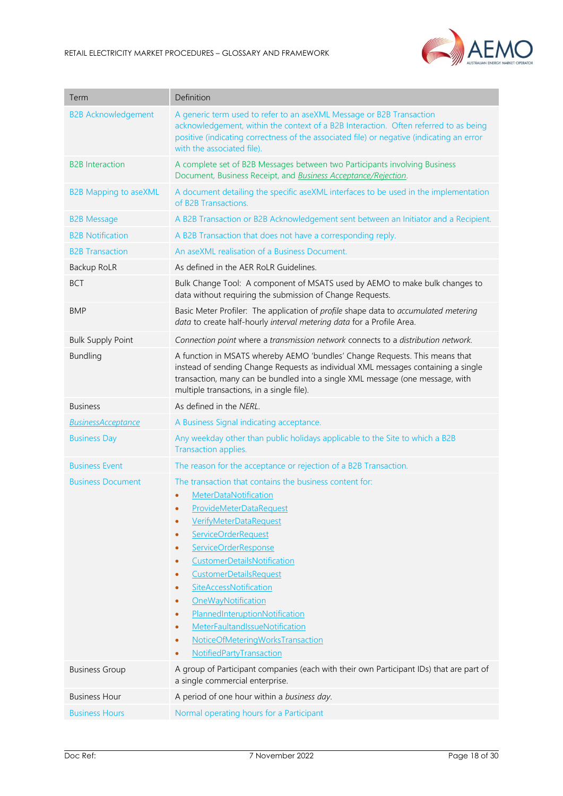

| Term                         | Definition                                                                                                                                                                                                                                                                                                                                                                                                                                                                                                                                                                                         |
|------------------------------|----------------------------------------------------------------------------------------------------------------------------------------------------------------------------------------------------------------------------------------------------------------------------------------------------------------------------------------------------------------------------------------------------------------------------------------------------------------------------------------------------------------------------------------------------------------------------------------------------|
| <b>B2B Acknowledgement</b>   | A generic term used to refer to an aseXML Message or B2B Transaction<br>acknowledgement, within the context of a B2B Interaction. Often referred to as being<br>positive (indicating correctness of the associated file) or negative (indicating an error<br>with the associated file).                                                                                                                                                                                                                                                                                                            |
| <b>B2B</b> Interaction       | A complete set of B2B Messages between two Participants involving Business<br>Document, Business Receipt, and <b>Business Acceptance/Rejection</b> .                                                                                                                                                                                                                                                                                                                                                                                                                                               |
| <b>B2B Mapping to aseXML</b> | A document detailing the specific aseXML interfaces to be used in the implementation<br>of B2B Transactions.                                                                                                                                                                                                                                                                                                                                                                                                                                                                                       |
| <b>B2B Message</b>           | A B2B Transaction or B2B Acknowledgement sent between an Initiator and a Recipient.                                                                                                                                                                                                                                                                                                                                                                                                                                                                                                                |
| <b>B2B Notification</b>      | A B2B Transaction that does not have a corresponding reply.                                                                                                                                                                                                                                                                                                                                                                                                                                                                                                                                        |
| <b>B2B Transaction</b>       | An aseXML realisation of a Business Document.                                                                                                                                                                                                                                                                                                                                                                                                                                                                                                                                                      |
| Backup RoLR                  | As defined in the AER RoLR Guidelines.                                                                                                                                                                                                                                                                                                                                                                                                                                                                                                                                                             |
| <b>BCT</b>                   | Bulk Change Tool: A component of MSATS used by AEMO to make bulk changes to<br>data without requiring the submission of Change Requests.                                                                                                                                                                                                                                                                                                                                                                                                                                                           |
| <b>BMP</b>                   | Basic Meter Profiler: The application of profile shape data to accumulated metering<br>data to create half-hourly interval metering data for a Profile Area.                                                                                                                                                                                                                                                                                                                                                                                                                                       |
| <b>Bulk Supply Point</b>     | Connection point where a transmission network connects to a distribution network.                                                                                                                                                                                                                                                                                                                                                                                                                                                                                                                  |
| <b>Bundling</b>              | A function in MSATS whereby AEMO 'bundles' Change Requests. This means that<br>instead of sending Change Requests as individual XML messages containing a single<br>transaction, many can be bundled into a single XML message (one message, with<br>multiple transactions, in a single file).                                                                                                                                                                                                                                                                                                     |
| <b>Business</b>              | As defined in the NERL.                                                                                                                                                                                                                                                                                                                                                                                                                                                                                                                                                                            |
| <b>BusinessAcceptance</b>    | A Business Signal indicating acceptance.                                                                                                                                                                                                                                                                                                                                                                                                                                                                                                                                                           |
| <b>Business Day</b>          | Any weekday other than public holidays applicable to the Site to which a B2B<br>Transaction applies.                                                                                                                                                                                                                                                                                                                                                                                                                                                                                               |
| <b>Business Event</b>        | The reason for the acceptance or rejection of a B2B Transaction.                                                                                                                                                                                                                                                                                                                                                                                                                                                                                                                                   |
| <b>Business Document</b>     | The transaction that contains the business content for:<br>MeterDataNotification<br>$\bullet$<br><b>ProvideMeterDataRequest</b><br><b>VerifyMeterDataRequest</b><br>$\bullet$<br><b>ServiceOrderRequest</b><br>$\bullet$<br><b>ServiceOrderResponse</b><br>$\bullet$<br>CustomerDetailsNotification<br>۰<br><b>CustomerDetailsRequest</b><br>$\bullet$<br>SiteAccessNotification<br>٠<br>OneWayNotification<br>$\bullet$<br>PlannedInteruptionNotification<br>۰<br><b>MeterFaultandIssueNotification</b><br>$\bullet$<br>NoticeOfMeteringWorksTransaction<br>$\bullet$<br>NotifiedPartyTransaction |
| <b>Business Group</b>        | A group of Participant companies (each with their own Participant IDs) that are part of<br>a single commercial enterprise.                                                                                                                                                                                                                                                                                                                                                                                                                                                                         |
| <b>Business Hour</b>         | A period of one hour within a business day.                                                                                                                                                                                                                                                                                                                                                                                                                                                                                                                                                        |
| <b>Business Hours</b>        | Normal operating hours for a Participant                                                                                                                                                                                                                                                                                                                                                                                                                                                                                                                                                           |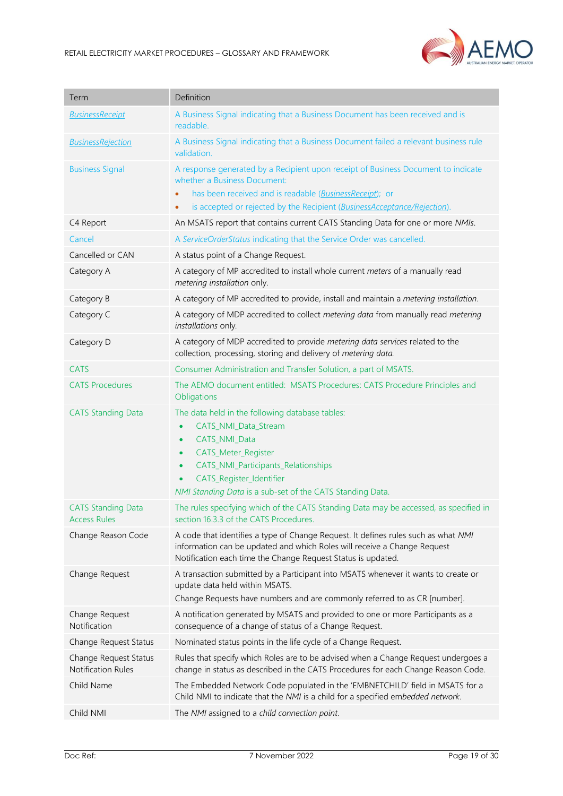

| Term                                               | Definition                                                                                                                                                                                                                                                                                          |
|----------------------------------------------------|-----------------------------------------------------------------------------------------------------------------------------------------------------------------------------------------------------------------------------------------------------------------------------------------------------|
| <b>BusinessReceipt</b>                             | A Business Signal indicating that a Business Document has been received and is<br>readable.                                                                                                                                                                                                         |
| <b>BusinessRejection</b>                           | A Business Signal indicating that a Business Document failed a relevant business rule<br>validation.                                                                                                                                                                                                |
| <b>Business Signal</b>                             | A response generated by a Recipient upon receipt of Business Document to indicate<br>whether a Business Document:                                                                                                                                                                                   |
|                                                    | has been received and is readable (BusinessReceipt); or<br>is accepted or rejected by the Recipient (BusinessAcceptance/Rejection).                                                                                                                                                                 |
| C4 Report                                          | An MSATS report that contains current CATS Standing Data for one or more NMIs.                                                                                                                                                                                                                      |
| Cancel                                             | A ServiceOrderStatus indicating that the Service Order was cancelled.                                                                                                                                                                                                                               |
| Cancelled or CAN                                   | A status point of a Change Request.                                                                                                                                                                                                                                                                 |
| Category A                                         | A category of MP accredited to install whole current meters of a manually read<br>metering installation only.                                                                                                                                                                                       |
| Category B                                         | A category of MP accredited to provide, install and maintain a metering installation.                                                                                                                                                                                                               |
| Category C                                         | A category of MDP accredited to collect metering data from manually read metering<br>installations only.                                                                                                                                                                                            |
| Category D                                         | A category of MDP accredited to provide metering data services related to the<br>collection, processing, storing and delivery of metering data.                                                                                                                                                     |
| <b>CATS</b>                                        | Consumer Administration and Transfer Solution, a part of MSATS.                                                                                                                                                                                                                                     |
| <b>CATS Procedures</b>                             | The AEMO document entitled: MSATS Procedures: CATS Procedure Principles and<br>Obligations                                                                                                                                                                                                          |
| <b>CATS Standing Data</b>                          | The data held in the following database tables:<br>CATS_NMI_Data_Stream<br>$\bullet$<br>CATS_NMI_Data<br>$\bullet$<br>CATS_Meter_Register<br>$\bullet$<br>CATS_NMI_Participants_Relationships<br>$\bullet$<br>CATS_Register_Identifier<br>NMI Standing Data is a sub-set of the CATS Standing Data. |
| <b>CATS Standing Data</b><br><b>Access Rules</b>   | The rules specifying which of the CATS Standing Data may be accessed, as specified in<br>section 16.3.3 of the CATS Procedures.                                                                                                                                                                     |
| Change Reason Code                                 | A code that identifies a type of Change Request. It defines rules such as what NMI<br>information can be updated and which Roles will receive a Change Request<br>Notification each time the Change Request Status is updated.                                                                      |
| Change Request                                     | A transaction submitted by a Participant into MSATS whenever it wants to create or<br>update data held within MSATS.<br>Change Requests have numbers and are commonly referred to as CR [number].                                                                                                   |
| Change Request<br>Notification                     | A notification generated by MSATS and provided to one or more Participants as a<br>consequence of a change of status of a Change Request.                                                                                                                                                           |
| Change Request Status                              | Nominated status points in the life cycle of a Change Request.                                                                                                                                                                                                                                      |
| Change Request Status<br><b>Notification Rules</b> | Rules that specify which Roles are to be advised when a Change Request undergoes a<br>change in status as described in the CATS Procedures for each Change Reason Code.                                                                                                                             |
| Child Name                                         | The Embedded Network Code populated in the 'EMBNETCHILD' field in MSATS for a<br>Child NMI to indicate that the NMI is a child for a specified embedded network.                                                                                                                                    |
| Child NMI                                          | The NMI assigned to a child connection point.                                                                                                                                                                                                                                                       |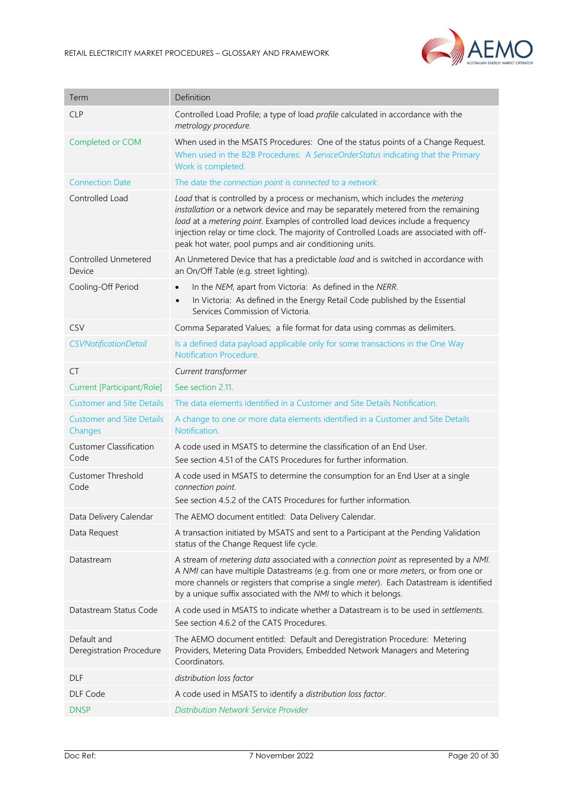

| Term                                        | Definition                                                                                                                                                                                                                                                                                                                                                                                                     |
|---------------------------------------------|----------------------------------------------------------------------------------------------------------------------------------------------------------------------------------------------------------------------------------------------------------------------------------------------------------------------------------------------------------------------------------------------------------------|
| <b>CLP</b>                                  | Controlled Load Profile; a type of load profile calculated in accordance with the<br>metrology procedure.                                                                                                                                                                                                                                                                                                      |
| Completed or COM                            | When used in the MSATS Procedures: One of the status points of a Change Request.<br>When used in the B2B Procedures: A ServiceOrderStatus indicating that the Primary<br>Work is completed.                                                                                                                                                                                                                    |
| <b>Connection Date</b>                      | The date the connection point is connected to a network.                                                                                                                                                                                                                                                                                                                                                       |
| Controlled Load                             | Load that is controlled by a process or mechanism, which includes the metering<br>installation or a network device and may be separately metered from the remaining<br>load at a metering point. Examples of controlled load devices include a frequency<br>injection relay or time clock. The majority of Controlled Loads are associated with off-<br>peak hot water, pool pumps and air conditioning units. |
| Controlled Unmetered<br>Device              | An Unmetered Device that has a predictable load and is switched in accordance with<br>an On/Off Table (e.g. street lighting).                                                                                                                                                                                                                                                                                  |
| Cooling-Off Period                          | In the NEM, apart from Victoria: As defined in the NERR.<br>$\bullet$<br>In Victoria: As defined in the Energy Retail Code published by the Essential<br>$\bullet$<br>Services Commission of Victoria.                                                                                                                                                                                                         |
| CSV                                         | Comma Separated Values; a file format for data using commas as delimiters.                                                                                                                                                                                                                                                                                                                                     |
| <b>CSVNotificationDetail</b>                | Is a defined data payload applicable only for some transactions in the One Way<br><b>Notification Procedure.</b>                                                                                                                                                                                                                                                                                               |
| СT                                          | Current transformer                                                                                                                                                                                                                                                                                                                                                                                            |
| Current [Participant/Role]                  | See section 2.11.                                                                                                                                                                                                                                                                                                                                                                                              |
| <b>Customer and Site Details</b>            | The data elements identified in a Customer and Site Details Notification.                                                                                                                                                                                                                                                                                                                                      |
| <b>Customer and Site Details</b><br>Changes | A change to one or more data elements identified in a Customer and Site Details<br>Notification.                                                                                                                                                                                                                                                                                                               |
| <b>Customer Classification</b><br>Code      | A code used in MSATS to determine the classification of an End User.<br>See section 4.51 of the CATS Procedures for further information.                                                                                                                                                                                                                                                                       |
| <b>Customer Threshold</b><br>Code           | A code used in MSATS to determine the consumption for an End User at a single<br>connection point.<br>See section 4.5.2 of the CATS Procedures for further information.                                                                                                                                                                                                                                        |
| Data Delivery Calendar                      | The AEMO document entitled: Data Delivery Calendar.                                                                                                                                                                                                                                                                                                                                                            |
| Data Request                                | A transaction initiated by MSATS and sent to a Participant at the Pending Validation<br>status of the Change Request life cycle.                                                                                                                                                                                                                                                                               |
| Datastream                                  | A stream of metering data associated with a connection point as represented by a NMI.<br>A NMI can have multiple Datastreams (e.g. from one or more meters, or from one or<br>more channels or registers that comprise a single meter). Each Datastream is identified<br>by a unique suffix associated with the NMI to which it belongs.                                                                       |
| Datastream Status Code                      | A code used in MSATS to indicate whether a Datastream is to be used in settlements.<br>See section 4.6.2 of the CATS Procedures.                                                                                                                                                                                                                                                                               |
| Default and<br>Deregistration Procedure     | The AEMO document entitled: Default and Deregistration Procedure: Metering<br>Providers, Metering Data Providers, Embedded Network Managers and Metering<br>Coordinators.                                                                                                                                                                                                                                      |
| <b>DLF</b>                                  | distribution loss factor                                                                                                                                                                                                                                                                                                                                                                                       |
| DLF Code                                    | A code used in MSATS to identify a distribution loss factor.                                                                                                                                                                                                                                                                                                                                                   |
| <b>DNSP</b>                                 | <b>Distribution Network Service Provider</b>                                                                                                                                                                                                                                                                                                                                                                   |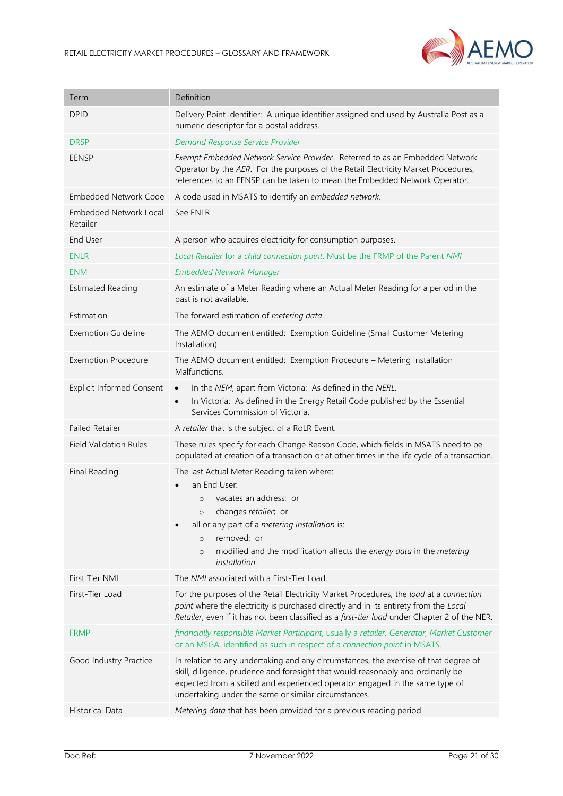

| Term                                      | Definition                                                                                                                                                                                                                                                                                                       |
|-------------------------------------------|------------------------------------------------------------------------------------------------------------------------------------------------------------------------------------------------------------------------------------------------------------------------------------------------------------------|
| <b>DPID</b>                               | Delivery Point Identifier: A unique identifier assigned and used by Australia Post as a<br>numeric descriptor for a postal address.                                                                                                                                                                              |
| <b>DRSP</b>                               | Demand Response Service Provider                                                                                                                                                                                                                                                                                 |
| <b>EENSP</b>                              | Exempt Embedded Network Service Provider. Referred to as an Embedded Network<br>Operator by the AER. For the purposes of the Retail Electricity Market Procedures,<br>references to an EENSP can be taken to mean the Embedded Network Operator.                                                                 |
| <b>Embedded Network Code</b>              | A code used in MSATS to identify an embedded network.                                                                                                                                                                                                                                                            |
| <b>Embedded Network Local</b><br>Retailer | See ENLR                                                                                                                                                                                                                                                                                                         |
| End User                                  | A person who acquires electricity for consumption purposes.                                                                                                                                                                                                                                                      |
| <b>ENLR</b>                               | Local Retailer for a child connection point. Must be the FRMP of the Parent NMI                                                                                                                                                                                                                                  |
| <b>ENM</b>                                | <b>Embedded Network Manager</b>                                                                                                                                                                                                                                                                                  |
| <b>Estimated Reading</b>                  | An estimate of a Meter Reading where an Actual Meter Reading for a period in the<br>past is not available.                                                                                                                                                                                                       |
| Estimation                                | The forward estimation of metering data.                                                                                                                                                                                                                                                                         |
| <b>Exemption Guideline</b>                | The AEMO document entitled: Exemption Guideline (Small Customer Metering<br>Installation).                                                                                                                                                                                                                       |
| <b>Exemption Procedure</b>                | The AEMO document entitled: Exemption Procedure - Metering Installation<br>Malfunctions.                                                                                                                                                                                                                         |
| <b>Explicit Informed Consent</b>          | In the NEM, apart from Victoria: As defined in the NERL.<br>$\bullet$<br>In Victoria: As defined in the Energy Retail Code published by the Essential<br>$\bullet$<br>Services Commission of Victoria.                                                                                                           |
| <b>Failed Retailer</b>                    | A retailer that is the subject of a RoLR Event.                                                                                                                                                                                                                                                                  |
| <b>Field Validation Rules</b>             | These rules specify for each Change Reason Code, which fields in MSATS need to be<br>populated at creation of a transaction or at other times in the life cycle of a transaction.                                                                                                                                |
| Final Reading                             | The last Actual Meter Reading taken where:<br>an End User:<br>vacates an address; or<br>$\circ$<br>o changes retailer; or<br>all or any part of a metering installation is:<br>removed; or<br>$\circ$<br>modified and the modification affects the energy data in the metering<br>$\circ$<br>installation.       |
| First Tier NMI                            | The NMI associated with a First-Tier Load.                                                                                                                                                                                                                                                                       |
| First-Tier Load                           | For the purposes of the Retail Electricity Market Procedures, the load at a connection<br>point where the electricity is purchased directly and in its entirety from the Local<br>Retailer, even if it has not been classified as a first-tier load under Chapter 2 of the NER.                                  |
| <b>FRMP</b>                               | financially responsible Market Participant, usually a retailer, Generator, Market Customer<br>or an MSGA, identified as such in respect of a connection point in MSATS.                                                                                                                                          |
| Good Industry Practice                    | In relation to any undertaking and any circumstances, the exercise of that degree of<br>skill, diligence, prudence and foresight that would reasonably and ordinarily be<br>expected from a skilled and experienced operator engaged in the same type of<br>undertaking under the same or similar circumstances. |
| <b>Historical Data</b>                    | Metering data that has been provided for a previous reading period                                                                                                                                                                                                                                               |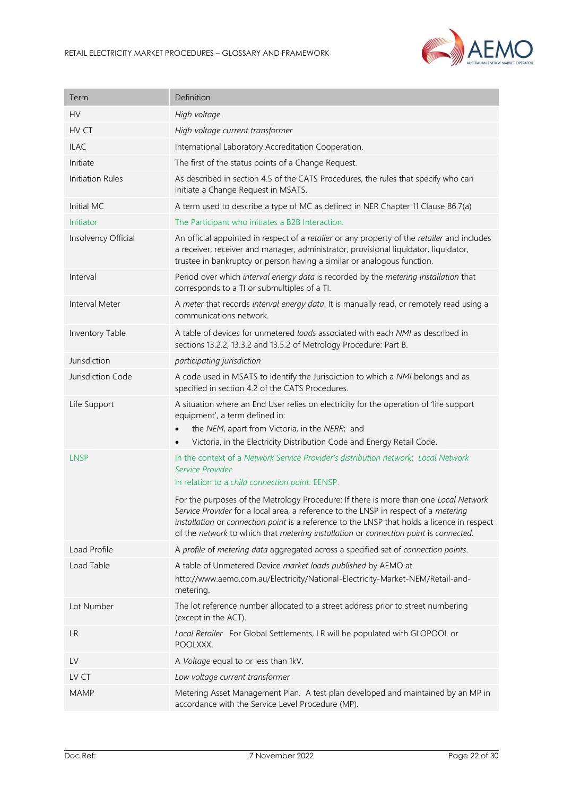

| Term                | Definition                                                                                                                                                                                                                                                                                                                                                                |
|---------------------|---------------------------------------------------------------------------------------------------------------------------------------------------------------------------------------------------------------------------------------------------------------------------------------------------------------------------------------------------------------------------|
| <b>HV</b>           | High voltage.                                                                                                                                                                                                                                                                                                                                                             |
| HV CT               | High voltage current transformer                                                                                                                                                                                                                                                                                                                                          |
| <b>ILAC</b>         | International Laboratory Accreditation Cooperation.                                                                                                                                                                                                                                                                                                                       |
| Initiate            | The first of the status points of a Change Request.                                                                                                                                                                                                                                                                                                                       |
| Initiation Rules    | As described in section 4.5 of the CATS Procedures, the rules that specify who can<br>initiate a Change Request in MSATS.                                                                                                                                                                                                                                                 |
| Initial MC          | A term used to describe a type of MC as defined in NER Chapter 11 Clause 86.7(a)                                                                                                                                                                                                                                                                                          |
| Initiator           | The Participant who initiates a B2B Interaction.                                                                                                                                                                                                                                                                                                                          |
| Insolvency Official | An official appointed in respect of a retailer or any property of the retailer and includes<br>a receiver, receiver and manager, administrator, provisional liquidator, liquidator,<br>trustee in bankruptcy or person having a similar or analogous function.                                                                                                            |
| Interval            | Period over which interval energy data is recorded by the metering installation that<br>corresponds to a TI or submultiples of a TI.                                                                                                                                                                                                                                      |
| Interval Meter      | A meter that records interval energy data. It is manually read, or remotely read using a<br>communications network.                                                                                                                                                                                                                                                       |
| Inventory Table     | A table of devices for unmetered loads associated with each NMI as described in<br>sections 13.2.2, 13.3.2 and 13.5.2 of Metrology Procedure: Part B.                                                                                                                                                                                                                     |
| Jurisdiction        | participating jurisdiction                                                                                                                                                                                                                                                                                                                                                |
| Jurisdiction Code   | A code used in MSATS to identify the Jurisdiction to which a NMI belongs and as<br>specified in section 4.2 of the CATS Procedures.                                                                                                                                                                                                                                       |
| Life Support        | A situation where an End User relies on electricity for the operation of 'life support<br>equipment', a term defined in:<br>the NEM, apart from Victoria, in the NERR; and<br>Victoria, in the Electricity Distribution Code and Energy Retail Code.                                                                                                                      |
| <b>LNSP</b>         | In the context of a Network Service Provider's distribution network: Local Network                                                                                                                                                                                                                                                                                        |
|                     | Service Provider<br>In relation to a child connection point: EENSP.                                                                                                                                                                                                                                                                                                       |
|                     | For the purposes of the Metrology Procedure: If there is more than one Local Network<br>Service Provider for a local area, a reference to the LNSP in respect of a <i>metering</i><br>installation or connection point is a reference to the LNSP that holds a licence in respect<br>of the network to which that metering installation or connection point is connected. |
| Load Profile        | A profile of metering data aggregated across a specified set of connection points.                                                                                                                                                                                                                                                                                        |
| Load Table          | A table of Unmetered Device market loads published by AEMO at<br>http://www.aemo.com.au/Electricity/National-Electricity-Market-NEM/Retail-and-<br>metering.                                                                                                                                                                                                              |
| Lot Number          | The lot reference number allocated to a street address prior to street numbering<br>(except in the ACT).                                                                                                                                                                                                                                                                  |
| <b>LR</b>           | Local Retailer. For Global Settlements, LR will be populated with GLOPOOL or<br>POOLXXX.                                                                                                                                                                                                                                                                                  |
| LV                  | A Voltage equal to or less than 1kV.                                                                                                                                                                                                                                                                                                                                      |
| LV CT               | Low voltage current transformer                                                                                                                                                                                                                                                                                                                                           |
| <b>MAMP</b>         | Metering Asset Management Plan. A test plan developed and maintained by an MP in<br>accordance with the Service Level Procedure (MP).                                                                                                                                                                                                                                     |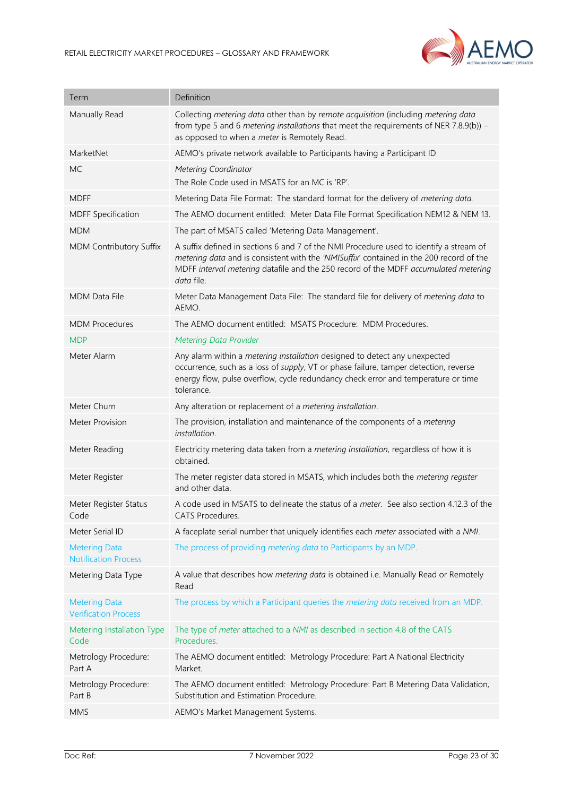

| Term                                                | Definition                                                                                                                                                                                                                                                                             |
|-----------------------------------------------------|----------------------------------------------------------------------------------------------------------------------------------------------------------------------------------------------------------------------------------------------------------------------------------------|
| Manually Read                                       | Collecting metering data other than by remote acquisition (including metering data<br>from type 5 and 6 metering installations that meet the requirements of NER 7.8.9(b)) –<br>as opposed to when a meter is Remotely Read.                                                           |
| MarketNet                                           | AEMO's private network available to Participants having a Participant ID                                                                                                                                                                                                               |
| <b>MC</b>                                           | <b>Metering Coordinator</b><br>The Role Code used in MSATS for an MC is 'RP'.                                                                                                                                                                                                          |
| <b>MDFF</b>                                         | Metering Data File Format: The standard format for the delivery of metering data.                                                                                                                                                                                                      |
| <b>MDFF Specification</b>                           | The AEMO document entitled: Meter Data File Format Specification NEM12 & NEM 13.                                                                                                                                                                                                       |
| <b>MDM</b>                                          | The part of MSATS called 'Metering Data Management'.                                                                                                                                                                                                                                   |
| MDM Contributory Suffix                             | A suffix defined in sections 6 and 7 of the NMI Procedure used to identify a stream of<br>metering data and is consistent with the 'NMISuffix' contained in the 200 record of the<br>MDFF interval metering datafile and the 250 record of the MDFF accumulated metering<br>data file. |
| <b>MDM Data File</b>                                | Meter Data Management Data File: The standard file for delivery of metering data to<br>AEMO.                                                                                                                                                                                           |
| <b>MDM Procedures</b>                               | The AEMO document entitled: MSATS Procedure: MDM Procedures.                                                                                                                                                                                                                           |
| <b>MDP</b>                                          | <b>Metering Data Provider</b>                                                                                                                                                                                                                                                          |
| Meter Alarm                                         | Any alarm within a metering installation designed to detect any unexpected<br>occurrence, such as a loss of supply, VT or phase failure, tamper detection, reverse<br>energy flow, pulse overflow, cycle redundancy check error and temperature or time<br>tolerance.                  |
| Meter Churn                                         | Any alteration or replacement of a metering installation.                                                                                                                                                                                                                              |
| <b>Meter Provision</b>                              | The provision, installation and maintenance of the components of a metering<br>installation.                                                                                                                                                                                           |
| Meter Reading                                       | Electricity metering data taken from a metering installation, regardless of how it is<br>obtained.                                                                                                                                                                                     |
| Meter Register                                      | The meter register data stored in MSATS, which includes both the metering register<br>and other data.                                                                                                                                                                                  |
| Meter Register Status<br>Code                       | A code used in MSATS to delineate the status of a meter. See also section 4.12.3 of the<br><b>CATS Procedures.</b>                                                                                                                                                                     |
| Meter Serial ID                                     | A faceplate serial number that uniquely identifies each meter associated with a NMI.                                                                                                                                                                                                   |
| <b>Metering Data</b><br><b>Notification Process</b> | The process of providing metering data to Participants by an MDP.                                                                                                                                                                                                                      |
| Metering Data Type                                  | A value that describes how metering data is obtained i.e. Manually Read or Remotely<br>Read                                                                                                                                                                                            |
| <b>Metering Data</b><br><b>Verification Process</b> | The process by which a Participant queries the metering data received from an MDP.                                                                                                                                                                                                     |
| Metering Installation Type<br>Code                  | The type of <i>meter</i> attached to a <i>NMI</i> as described in section 4.8 of the CATS<br>Procedures.                                                                                                                                                                               |
| Metrology Procedure:<br>Part A                      | The AEMO document entitled: Metrology Procedure: Part A National Electricity<br>Market.                                                                                                                                                                                                |
| Metrology Procedure:<br>Part B                      | The AEMO document entitled: Metrology Procedure: Part B Metering Data Validation,<br>Substitution and Estimation Procedure.                                                                                                                                                            |
| <b>MMS</b>                                          | AEMO's Market Management Systems.                                                                                                                                                                                                                                                      |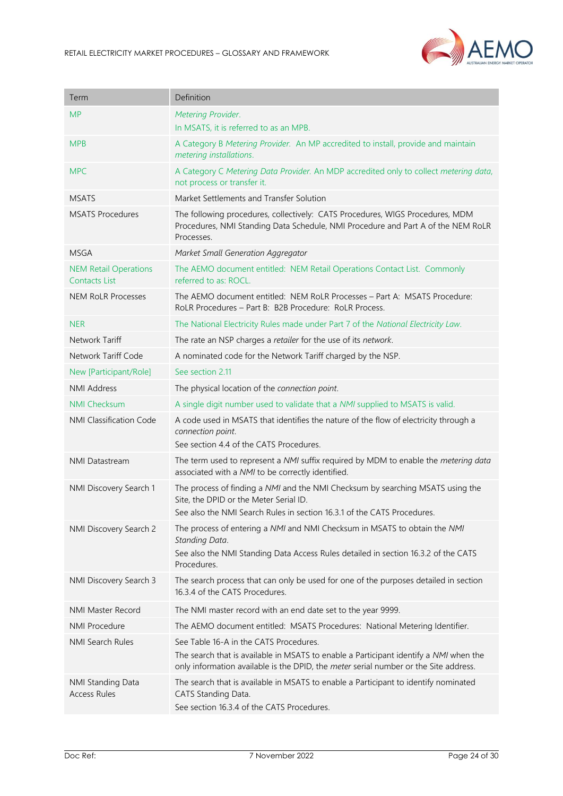

| Term                                                 | Definition                                                                                                                                                                                                              |
|------------------------------------------------------|-------------------------------------------------------------------------------------------------------------------------------------------------------------------------------------------------------------------------|
| <b>MP</b>                                            | Metering Provider.                                                                                                                                                                                                      |
|                                                      | In MSATS, it is referred to as an MPB.                                                                                                                                                                                  |
| <b>MPB</b>                                           | A Category B Metering Provider. An MP accredited to install, provide and maintain<br>metering installations.                                                                                                            |
| <b>MPC</b>                                           | A Category C Metering Data Provider. An MDP accredited only to collect metering data,<br>not process or transfer it.                                                                                                    |
| <b>MSATS</b>                                         | Market Settlements and Transfer Solution                                                                                                                                                                                |
| <b>MSATS Procedures</b>                              | The following procedures, collectively: CATS Procedures, WIGS Procedures, MDM<br>Procedures, NMI Standing Data Schedule, NMI Procedure and Part A of the NEM RoLR<br>Processes.                                         |
| <b>MSGA</b>                                          | Market Small Generation Aggregator                                                                                                                                                                                      |
| <b>NEM Retail Operations</b><br><b>Contacts List</b> | The AEMO document entitled: NEM Retail Operations Contact List. Commonly<br>referred to as: ROCL.                                                                                                                       |
| <b>NEM RoLR Processes</b>                            | The AEMO document entitled: NEM RoLR Processes - Part A: MSATS Procedure:<br>RoLR Procedures - Part B: B2B Procedure: RoLR Process.                                                                                     |
| <b>NER</b>                                           | The National Electricity Rules made under Part 7 of the National Electricity Law.                                                                                                                                       |
| Network Tariff                                       | The rate an NSP charges a retailer for the use of its network.                                                                                                                                                          |
| Network Tariff Code                                  | A nominated code for the Network Tariff charged by the NSP.                                                                                                                                                             |
| New [Participant/Role]                               | See section 2.11                                                                                                                                                                                                        |
| <b>NMI Address</b>                                   | The physical location of the connection point.                                                                                                                                                                          |
| <b>NMI Checksum</b>                                  | A single digit number used to validate that a NMI supplied to MSATS is valid.                                                                                                                                           |
| NMI Classification Code                              | A code used in MSATS that identifies the nature of the flow of electricity through a<br>connection point.<br>See section 4.4 of the CATS Procedures.                                                                    |
| <b>NMI Datastream</b>                                | The term used to represent a NMI suffix required by MDM to enable the metering data<br>associated with a NMI to be correctly identified.                                                                                |
| NMI Discovery Search 1                               | The process of finding a NMI and the NMI Checksum by searching MSATS using the<br>Site, the DPID or the Meter Serial ID.<br>See also the NMI Search Rules in section 16.3.1 of the CATS Procedures.                     |
| NMI Discovery Search 2                               | The process of entering a NMI and NMI Checksum in MSATS to obtain the NMI<br>Standing Data.<br>See also the NMI Standing Data Access Rules detailed in section 16.3.2 of the CATS<br>Procedures.                        |
| NMI Discovery Search 3                               | The search process that can only be used for one of the purposes detailed in section<br>16.3.4 of the CATS Procedures.                                                                                                  |
| NMI Master Record                                    | The NMI master record with an end date set to the year 9999.                                                                                                                                                            |
| <b>NMI Procedure</b>                                 | The AEMO document entitled: MSATS Procedures: National Metering Identifier.                                                                                                                                             |
| NMI Search Rules                                     | See Table 16-A in the CATS Procedures.<br>The search that is available in MSATS to enable a Participant identify a NMI when the<br>only information available is the DPID, the meter serial number or the Site address. |
| NMI Standing Data<br><b>Access Rules</b>             | The search that is available in MSATS to enable a Participant to identify nominated<br>CATS Standing Data.<br>See section 16.3.4 of the CATS Procedures.                                                                |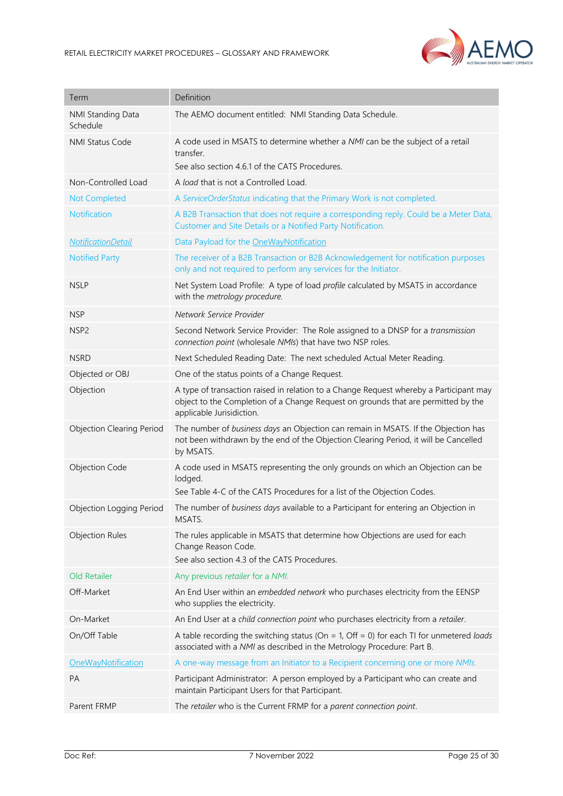

| Term                             | Definition                                                                                                                                                                                               |
|----------------------------------|----------------------------------------------------------------------------------------------------------------------------------------------------------------------------------------------------------|
| NMI Standing Data<br>Schedule    | The AEMO document entitled: NMI Standing Data Schedule.                                                                                                                                                  |
| NMI Status Code                  | A code used in MSATS to determine whether a NMI can be the subject of a retail<br>transfer.<br>See also section 4.6.1 of the CATS Procedures.                                                            |
| Non-Controlled Load              | A load that is not a Controlled Load.                                                                                                                                                                    |
| Not Completed                    | A ServiceOrderStatus indicating that the Primary Work is not completed.                                                                                                                                  |
| Notification                     | A B2B Transaction that does not require a corresponding reply. Could be a Meter Data,<br>Customer and Site Details or a Notified Party Notification.                                                     |
| <b>NotificationDetail</b>        | Data Payload for the OneWayNotification                                                                                                                                                                  |
| <b>Notified Party</b>            | The receiver of a B2B Transaction or B2B Acknowledgement for notification purposes<br>only and not required to perform any services for the Initiator.                                                   |
| <b>NSLP</b>                      | Net System Load Profile: A type of load profile calculated by MSATS in accordance<br>with the metrology procedure.                                                                                       |
| <b>NSP</b>                       | Network Service Provider                                                                                                                                                                                 |
| NSP <sub>2</sub>                 | Second Network Service Provider: The Role assigned to a DNSP for a transmission<br>connection point (wholesale NMIs) that have two NSP roles.                                                            |
| <b>NSRD</b>                      | Next Scheduled Reading Date: The next scheduled Actual Meter Reading.                                                                                                                                    |
| Objected or OBJ                  | One of the status points of a Change Request.                                                                                                                                                            |
| Objection                        | A type of transaction raised in relation to a Change Request whereby a Participant may<br>object to the Completion of a Change Request on grounds that are permitted by the<br>applicable Jurisidiction. |
| <b>Objection Clearing Period</b> | The number of business days an Objection can remain in MSATS. If the Objection has<br>not been withdrawn by the end of the Objection Clearing Period, it will be Cancelled<br>by MSATS.                  |
| Objection Code                   | A code used in MSATS representing the only grounds on which an Objection can be<br>lodged.<br>See Table 4-C of the CATS Procedures for a list of the Objection Codes.                                    |
| Objection Logging Period         | The number of business days available to a Participant for entering an Objection in<br>MSATS.                                                                                                            |
| <b>Objection Rules</b>           | The rules applicable in MSATS that determine how Objections are used for each<br>Change Reason Code.<br>See also section 4.3 of the CATS Procedures.                                                     |
| Old Retailer                     | Any previous retailer for a NMI.                                                                                                                                                                         |
| Off-Market                       | An End User within an embedded network who purchases electricity from the EENSP<br>who supplies the electricity.                                                                                         |
| On-Market                        | An End User at a child connection point who purchases electricity from a retailer.                                                                                                                       |
| On/Off Table                     | A table recording the switching status (On = 1, Off = 0) for each TI for unmetered loads<br>associated with a NMI as described in the Metrology Procedure: Part B.                                       |
| OneWayNotification               | A one-way message from an Initiator to a Recipient concerning one or more NMIs.                                                                                                                          |
| <b>PA</b>                        | Participant Administrator: A person employed by a Participant who can create and<br>maintain Participant Users for that Participant.                                                                     |
| Parent FRMP                      | The retailer who is the Current FRMP for a parent connection point.                                                                                                                                      |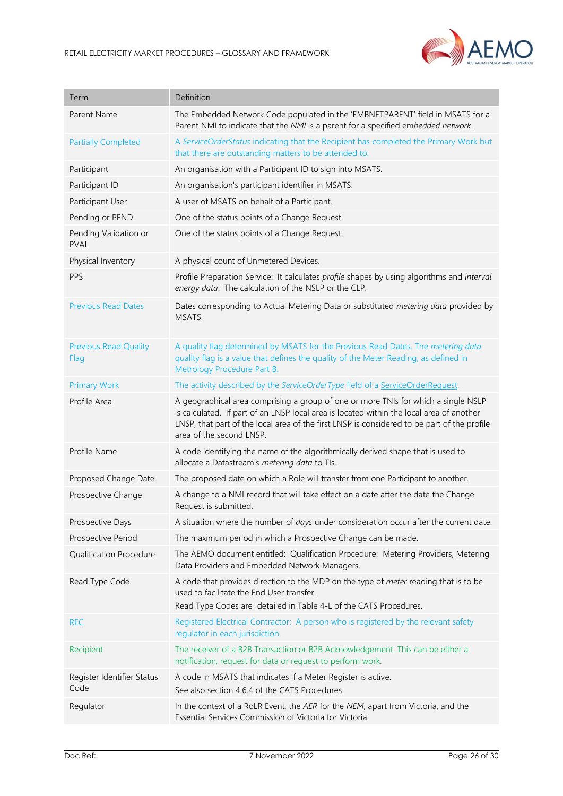

| Term                                 | Definition                                                                                                                                                                                                                                                                                                |
|--------------------------------------|-----------------------------------------------------------------------------------------------------------------------------------------------------------------------------------------------------------------------------------------------------------------------------------------------------------|
| Parent Name                          | The Embedded Network Code populated in the 'EMBNETPARENT' field in MSATS for a<br>Parent NMI to indicate that the NMI is a parent for a specified embedded network.                                                                                                                                       |
| <b>Partially Completed</b>           | A ServiceOrderStatus indicating that the Recipient has completed the Primary Work but<br>that there are outstanding matters to be attended to.                                                                                                                                                            |
| Participant                          | An organisation with a Participant ID to sign into MSATS.                                                                                                                                                                                                                                                 |
| Participant ID                       | An organisation's participant identifier in MSATS.                                                                                                                                                                                                                                                        |
| Participant User                     | A user of MSATS on behalf of a Participant.                                                                                                                                                                                                                                                               |
| Pending or PEND                      | One of the status points of a Change Request.                                                                                                                                                                                                                                                             |
| Pending Validation or<br><b>PVAL</b> | One of the status points of a Change Request.                                                                                                                                                                                                                                                             |
| Physical Inventory                   | A physical count of Unmetered Devices.                                                                                                                                                                                                                                                                    |
| PPS                                  | Profile Preparation Service: It calculates profile shapes by using algorithms and interval<br>energy data. The calculation of the NSLP or the CLP.                                                                                                                                                        |
| <b>Previous Read Dates</b>           | Dates corresponding to Actual Metering Data or substituted metering data provided by<br><b>MSATS</b>                                                                                                                                                                                                      |
| <b>Previous Read Quality</b><br>Flag | A quality flag determined by MSATS for the Previous Read Dates. The metering data<br>quality flag is a value that defines the quality of the Meter Reading, as defined in<br>Metrology Procedure Part B.                                                                                                  |
| <b>Primary Work</b>                  | The activity described by the ServiceOrderType field of a ServiceOrderRequest.                                                                                                                                                                                                                            |
| Profile Area                         | A geographical area comprising a group of one or more TNIs for which a single NSLP<br>is calculated. If part of an LNSP local area is located within the local area of another<br>LNSP, that part of the local area of the first LNSP is considered to be part of the profile<br>area of the second LNSP. |
| Profile Name                         | A code identifying the name of the algorithmically derived shape that is used to<br>allocate a Datastream's metering data to TIs.                                                                                                                                                                         |
| Proposed Change Date                 | The proposed date on which a Role will transfer from one Participant to another.                                                                                                                                                                                                                          |
| Prospective Change                   | A change to a NMI record that will take effect on a date after the date the Change<br>Request is submitted.                                                                                                                                                                                               |
| Prospective Days                     | A situation where the number of days under consideration occur after the current date.                                                                                                                                                                                                                    |
| Prospective Period                   | The maximum period in which a Prospective Change can be made.                                                                                                                                                                                                                                             |
| <b>Qualification Procedure</b>       | The AEMO document entitled: Qualification Procedure: Metering Providers, Metering<br>Data Providers and Embedded Network Managers.                                                                                                                                                                        |
| Read Type Code                       | A code that provides direction to the MDP on the type of meter reading that is to be<br>used to facilitate the End User transfer.<br>Read Type Codes are detailed in Table 4-L of the CATS Procedures.                                                                                                    |
| <b>REC</b>                           | Registered Electrical Contractor: A person who is registered by the relevant safety<br>regulator in each jurisdiction.                                                                                                                                                                                    |
| Recipient                            | The receiver of a B2B Transaction or B2B Acknowledgement. This can be either a<br>notification, request for data or request to perform work.                                                                                                                                                              |
| Register Identifier Status<br>Code   | A code in MSATS that indicates if a Meter Register is active.<br>See also section 4.6.4 of the CATS Procedures.                                                                                                                                                                                           |
| Regulator                            | In the context of a RoLR Event, the AER for the NEM, apart from Victoria, and the<br>Essential Services Commission of Victoria for Victoria.                                                                                                                                                              |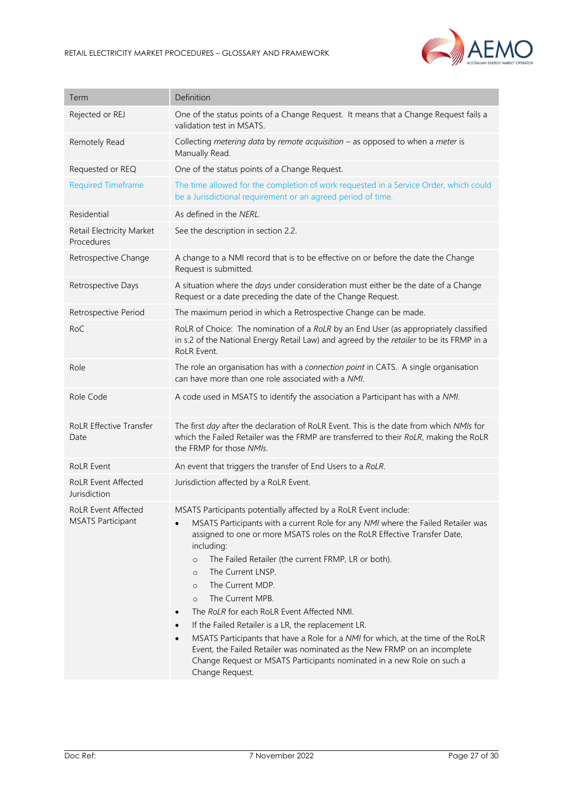

| Term                                                   | Definition                                                                                                                                                                                                                                                                                                                                                                                                                                                                                                                                                                                                                                                                                                                                                                                                               |
|--------------------------------------------------------|--------------------------------------------------------------------------------------------------------------------------------------------------------------------------------------------------------------------------------------------------------------------------------------------------------------------------------------------------------------------------------------------------------------------------------------------------------------------------------------------------------------------------------------------------------------------------------------------------------------------------------------------------------------------------------------------------------------------------------------------------------------------------------------------------------------------------|
| Rejected or REJ                                        | One of the status points of a Change Request. It means that a Change Request fails a<br>validation test in MSATS.                                                                                                                                                                                                                                                                                                                                                                                                                                                                                                                                                                                                                                                                                                        |
| Remotely Read                                          | Collecting metering data by remote acquisition $-$ as opposed to when a meter is<br>Manually Read.                                                                                                                                                                                                                                                                                                                                                                                                                                                                                                                                                                                                                                                                                                                       |
| Requested or REQ                                       | One of the status points of a Change Request.                                                                                                                                                                                                                                                                                                                                                                                                                                                                                                                                                                                                                                                                                                                                                                            |
| <b>Required Timeframe</b>                              | The time allowed for the completion of work requested in a Service Order, which could<br>be a Jurisdictional requirement or an agreed period of time.                                                                                                                                                                                                                                                                                                                                                                                                                                                                                                                                                                                                                                                                    |
| Residential                                            | As defined in the NERL.                                                                                                                                                                                                                                                                                                                                                                                                                                                                                                                                                                                                                                                                                                                                                                                                  |
| Retail Electricity Market<br>Procedures                | See the description in section 2.2.                                                                                                                                                                                                                                                                                                                                                                                                                                                                                                                                                                                                                                                                                                                                                                                      |
| Retrospective Change                                   | A change to a NMI record that is to be effective on or before the date the Change<br>Request is submitted.                                                                                                                                                                                                                                                                                                                                                                                                                                                                                                                                                                                                                                                                                                               |
| Retrospective Days                                     | A situation where the days under consideration must either be the date of a Change<br>Request or a date preceding the date of the Change Request.                                                                                                                                                                                                                                                                                                                                                                                                                                                                                                                                                                                                                                                                        |
| Retrospective Period                                   | The maximum period in which a Retrospective Change can be made.                                                                                                                                                                                                                                                                                                                                                                                                                                                                                                                                                                                                                                                                                                                                                          |
| RoC                                                    | RoLR of Choice: The nomination of a RoLR by an End User (as appropriately classified<br>in s.2 of the National Energy Retail Law) and agreed by the retailer to be its FRMP in a<br>RoLR Event.                                                                                                                                                                                                                                                                                                                                                                                                                                                                                                                                                                                                                          |
| Role                                                   | The role an organisation has with a connection point in CATS. A single organisation<br>can have more than one role associated with a NMI.                                                                                                                                                                                                                                                                                                                                                                                                                                                                                                                                                                                                                                                                                |
| Role Code                                              | A code used in MSATS to identify the association a Participant has with a NMI.                                                                                                                                                                                                                                                                                                                                                                                                                                                                                                                                                                                                                                                                                                                                           |
| RoLR Effective Transfer<br>Date                        | The first day after the declaration of RoLR Event. This is the date from which NMIs for<br>which the Failed Retailer was the FRMP are transferred to their RoLR, making the RoLR<br>the FRMP for those NMIs.                                                                                                                                                                                                                                                                                                                                                                                                                                                                                                                                                                                                             |
| <b>RoLR Event</b>                                      | An event that triggers the transfer of End Users to a RoLR.                                                                                                                                                                                                                                                                                                                                                                                                                                                                                                                                                                                                                                                                                                                                                              |
| <b>RoLR Event Affected</b><br>Jurisdiction             | Jurisdiction affected by a RoLR Event.                                                                                                                                                                                                                                                                                                                                                                                                                                                                                                                                                                                                                                                                                                                                                                                   |
| <b>RoLR Event Affected</b><br><b>MSATS Participant</b> | MSATS Participants potentially affected by a RoLR Event include:<br>MSATS Participants with a current Role for any NMI where the Failed Retailer was<br>assigned to one or more MSATS roles on the RoLR Effective Transfer Date,<br>including:<br>The Failed Retailer (the current FRMP, LR or both).<br>$\circ$<br>The Current LNSP.<br>$\circ$<br>The Current MDP.<br>$\circ$<br>The Current MPB.<br>$\circ$<br>The RoLR for each RoLR Event Affected NMI.<br>$\bullet$<br>If the Failed Retailer is a LR, the replacement LR.<br>$\bullet$<br>MSATS Participants that have a Role for a NMI for which, at the time of the RoLR<br>$\bullet$<br>Event, the Failed Retailer was nominated as the New FRMP on an incomplete<br>Change Request or MSATS Participants nominated in a new Role on such a<br>Change Request. |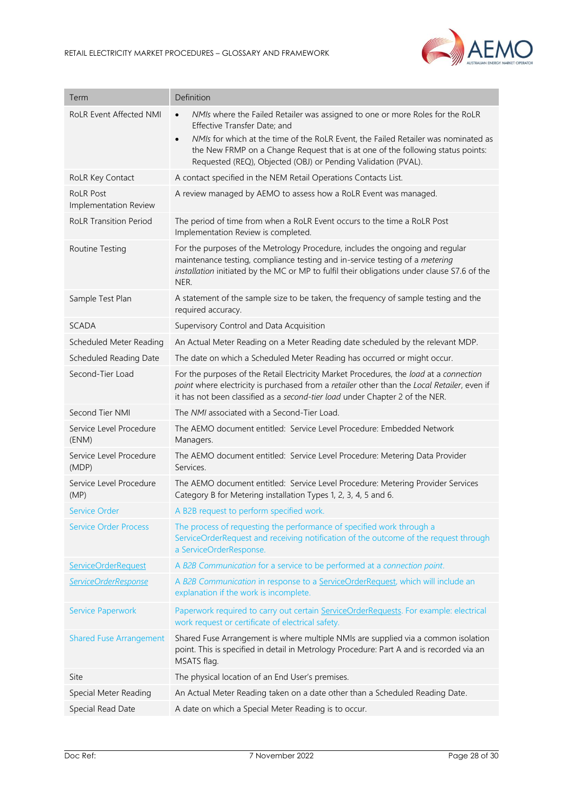

| Term                                      | Definition                                                                                                                                                                                                                                                            |
|-------------------------------------------|-----------------------------------------------------------------------------------------------------------------------------------------------------------------------------------------------------------------------------------------------------------------------|
| <b>RoLR Event Affected NMI</b>            | NMIs where the Failed Retailer was assigned to one or more Roles for the RoLR<br>$\bullet$<br>Effective Transfer Date; and                                                                                                                                            |
|                                           | NMIs for which at the time of the RoLR Event, the Failed Retailer was nominated as<br>$\bullet$<br>the New FRMP on a Change Request that is at one of the following status points:<br>Requested (REQ), Objected (OBJ) or Pending Validation (PVAL).                   |
| RoLR Key Contact                          | A contact specified in the NEM Retail Operations Contacts List.                                                                                                                                                                                                       |
| <b>RoLR Post</b><br>Implementation Review | A review managed by AEMO to assess how a RoLR Event was managed.                                                                                                                                                                                                      |
| <b>RoLR Transition Period</b>             | The period of time from when a RoLR Event occurs to the time a RoLR Post<br>Implementation Review is completed.                                                                                                                                                       |
| Routine Testing                           | For the purposes of the Metrology Procedure, includes the ongoing and regular<br>maintenance testing, compliance testing and in-service testing of a metering<br>installation initiated by the MC or MP to fulfil their obligations under clause S7.6 of the<br>NER.  |
| Sample Test Plan                          | A statement of the sample size to be taken, the frequency of sample testing and the<br>required accuracy.                                                                                                                                                             |
| <b>SCADA</b>                              | Supervisory Control and Data Acquisition                                                                                                                                                                                                                              |
| Scheduled Meter Reading                   | An Actual Meter Reading on a Meter Reading date scheduled by the relevant MDP.                                                                                                                                                                                        |
| Scheduled Reading Date                    | The date on which a Scheduled Meter Reading has occurred or might occur.                                                                                                                                                                                              |
| Second-Tier Load                          | For the purposes of the Retail Electricity Market Procedures, the load at a connection<br>point where electricity is purchased from a retailer other than the Local Retailer, even if<br>it has not been classified as a second-tier load under Chapter 2 of the NER. |
| Second Tier NMI                           | The NMI associated with a Second-Tier Load.                                                                                                                                                                                                                           |
| Service Level Procedure<br>(ENM)          | The AEMO document entitled: Service Level Procedure: Embedded Network<br>Managers.                                                                                                                                                                                    |
| Service Level Procedure<br>(MDP)          | The AEMO document entitled: Service Level Procedure: Metering Data Provider<br>Services.                                                                                                                                                                              |
| Service Level Procedure<br>(MP)           | The AEMO document entitled: Service Level Procedure: Metering Provider Services<br>Category B for Metering installation Types 1, 2, 3, 4, 5 and 6.                                                                                                                    |
| Service Order                             | A B2B request to perform specified work.                                                                                                                                                                                                                              |
| <b>Service Order Process</b>              | The process of requesting the performance of specified work through a<br>ServiceOrderRequest and receiving notification of the outcome of the request through<br>a ServiceOrderResponse.                                                                              |
| ServiceOrderRequest                       | A B2B Communication for a service to be performed at a connection point.                                                                                                                                                                                              |
| ServiceOrderResponse                      | A B2B Communication in response to a ServiceOrderRequest, which will include an<br>explanation if the work is incomplete.                                                                                                                                             |
| <b>Service Paperwork</b>                  | Paperwork required to carry out certain ServiceOrderRequests. For example: electrical<br>work request or certificate of electrical safety.                                                                                                                            |
| <b>Shared Fuse Arrangement</b>            | Shared Fuse Arrangement is where multiple NMIs are supplied via a common isolation<br>point. This is specified in detail in Metrology Procedure: Part A and is recorded via an<br>MSATS flag.                                                                         |
| Site                                      | The physical location of an End User's premises.                                                                                                                                                                                                                      |
| Special Meter Reading                     | An Actual Meter Reading taken on a date other than a Scheduled Reading Date.                                                                                                                                                                                          |
| Special Read Date                         | A date on which a Special Meter Reading is to occur.                                                                                                                                                                                                                  |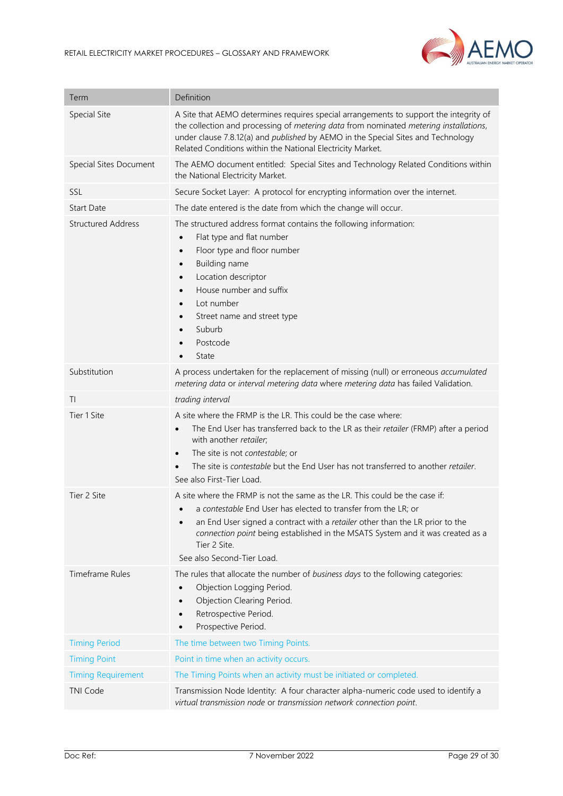

| Term                      | Definition                                                                                                                                                                                                                                                                                                                                                                           |
|---------------------------|--------------------------------------------------------------------------------------------------------------------------------------------------------------------------------------------------------------------------------------------------------------------------------------------------------------------------------------------------------------------------------------|
| <b>Special Site</b>       | A Site that AEMO determines requires special arrangements to support the integrity of<br>the collection and processing of metering data from nominated metering installations,<br>under clause 7.8.12(a) and <i>published</i> by AEMO in the Special Sites and Technology<br>Related Conditions within the National Electricity Market.                                              |
| Special Sites Document    | The AEMO document entitled: Special Sites and Technology Related Conditions within<br>the National Electricity Market.                                                                                                                                                                                                                                                               |
| SSL                       | Secure Socket Layer: A protocol for encrypting information over the internet.                                                                                                                                                                                                                                                                                                        |
| <b>Start Date</b>         | The date entered is the date from which the change will occur.                                                                                                                                                                                                                                                                                                                       |
| <b>Structured Address</b> | The structured address format contains the following information:<br>Flat type and flat number<br>$\bullet$<br>Floor type and floor number<br>$\bullet$<br>Building name<br>$\bullet$<br>Location descriptor<br>$\bullet$<br>House number and suffix<br>$\bullet$<br>Lot number<br>$\bullet$<br>Street name and street type<br>$\bullet$<br>Suburb<br>Postcode<br>State<br>$\bullet$ |
| Substitution              | A process undertaken for the replacement of missing (null) or erroneous accumulated<br>metering data or interval metering data where metering data has failed Validation.                                                                                                                                                                                                            |
| TI                        | trading interval                                                                                                                                                                                                                                                                                                                                                                     |
| Tier 1 Site               | A site where the FRMP is the LR. This could be the case where:<br>The End User has transferred back to the LR as their retailer (FRMP) after a period<br>$\bullet$<br>with another retailer;<br>The site is not contestable; or<br>$\bullet$<br>The site is contestable but the End User has not transferred to another retailer.<br>See also First-Tier Load.                       |
| Tier 2 Site               | A site where the FRMP is not the same as the LR. This could be the case if:<br>a contestable End User has elected to transfer from the LR; or<br>an End User signed a contract with a retailer other than the LR prior to the<br>$\bullet$<br>connection point being established in the MSATS System and it was created as a<br>Tier 2 Site.<br>See also Second-Tier Load.           |
| Timeframe Rules           | The rules that allocate the number of business days to the following categories:<br>Objection Logging Period.<br>$\bullet$<br>Objection Clearing Period.<br>$\bullet$<br>Retrospective Period.<br>Prospective Period.<br>$\bullet$                                                                                                                                                   |
| <b>Timing Period</b>      | The time between two Timing Points.                                                                                                                                                                                                                                                                                                                                                  |
| <b>Timing Point</b>       | Point in time when an activity occurs.                                                                                                                                                                                                                                                                                                                                               |
| <b>Timing Requirement</b> | The Timing Points when an activity must be initiated or completed.                                                                                                                                                                                                                                                                                                                   |
| <b>TNI Code</b>           | Transmission Node Identity: A four character alpha-numeric code used to identify a<br>virtual transmission node or transmission network connection point.                                                                                                                                                                                                                            |